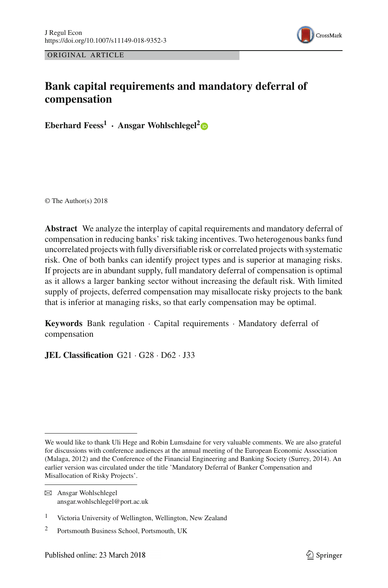

ORIGINAL ARTICLE

# **Bank capital requirements and mandatory deferral of compensation**

**Eberhard Feess<sup>1</sup> · Ansgar Wohlschlegel[2](http://orcid.org/0000-0001-7620-2539)**

© The Author(s) 2018

**Abstract** We analyze the interplay of capital requirements and mandatory deferral of compensation in reducing banks' risk taking incentives. Two heterogenous banks fund uncorrelated projects with fully diversifiable risk or correlated projects with systematic risk. One of both banks can identify project types and is superior at managing risks. If projects are in abundant supply, full mandatory deferral of compensation is optimal as it allows a larger banking sector without increasing the default risk. With limited supply of projects, deferred compensation may misallocate risky projects to the bank that is inferior at managing risks, so that early compensation may be optimal.

**Keywords** Bank regulation · Capital requirements · Mandatory deferral of compensation

**JEL Classification** G21 · G28 · D62 · J33

We would like to thank Uli Hege and Robin Lumsdaine for very valuable comments. We are also grateful for discussions with conference audiences at the annual meeting of the European Economic Association (Malaga, 2012) and the Conference of the Financial Engineering and Banking Society (Surrey, 2014). An earlier version was circulated under the title 'Mandatory Deferral of Banker Compensation and Misallocation of Risky Projects'.

B Ansgar Wohlschlegel ansgar.wohlschlegel@port.ac.uk

<sup>1</sup> Victoria University of Wellington, Wellington, New Zealand

<sup>2</sup> Portsmouth Business School, Portsmouth, UK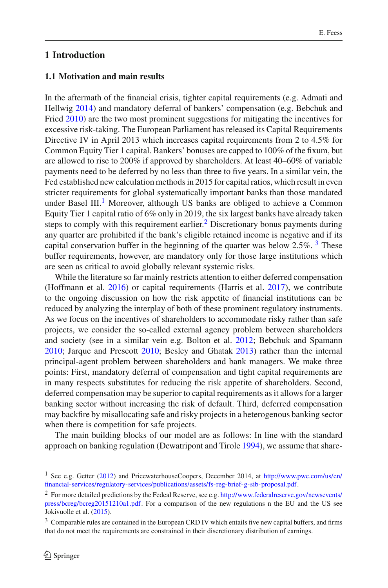## **1 Introduction**

#### **1.1 Motivation and main results**

In the aftermath of the financial crisis, tighter capital requirements (e.g. Admati and Hellwi[g](#page-35-0) [2014\)](#page-35-0) and mandatory deferral of bankers' compensation (e.g. Bebchuk and Frie[d](#page-35-1) [2010](#page-35-1)) are the two most prominent suggestions for mitigating the incentives for excessive risk-taking. The European Parliament has released its Capital Requirements Directive IV in April 2013 which increases capital requirements from 2 to 4.5% for Common Equity Tier 1 capital. Bankers' bonuses are capped to 100% of the fixum, but are allowed to rise to 200% if approved by shareholders. At least 40–60% of variable payments need to be deferred by no less than three to five years. In a similar vein, the Fed established new calculation methods in 2015 for capital ratios, which result in even stricter requirements for global systematically important banks than those mandated under Basel III.<sup>1</sup> Moreover, although US banks are obliged to achieve a Common Equity Tier 1 capital ratio of 6% only in 2019, the six largest banks have already taken steps to comply with this requirement earlier.<sup>[2](#page-1-1)</sup> Discretionary bonus payments during any quarter are prohibited if the bank's eligible retained income is negative and if its capital conservation buffer in the beginning of the quarter was below  $2.5\%$ . <sup>[3](#page-1-2)</sup> These buffer requirements, however, are mandatory only for those large institutions which are seen as critical to avoid globally relevant systemic risks.

While the literature so far mainly restricts attention to either deferred compensation (Hoffmann et al[.](#page-36-0) [2016](#page-36-0)) or capital requirements (Harris et al[.](#page-36-1) [2017](#page-36-1)), we contribute to the ongoing discussion on how the risk appetite of financial institutions can be reduced by analyzing the interplay of both of these prominent regulatory instruments. As we focus on the incentives of shareholders to accommodate risky rather than safe projects, we consider the so-called external agency problem between shareholders and society (see in a similar vein e.g. Bolton et al[.](#page-35-2) [2012;](#page-35-2) Bebchuk and Spaman[n](#page-35-3) [2010;](#page-35-3) Jarque and Prescot[t](#page-36-2) [2010](#page-36-2); Besley and Ghata[k](#page-35-4) [2013](#page-35-4)) rather than the internal principal-agent problem between shareholders and bank managers. We make three points: First, mandatory deferral of compensation and tight capital requirements are in many respects substitutes for reducing the risk appetite of shareholders. Second, deferred compensation may be superior to capital requirements as it allows for a larger banking sector without increasing the risk of default. Third, deferred compensation may backfire by misallocating safe and risky projects in a heterogenous banking sector when there is competition for safe projects.

The main building blocks of our model are as follows: In line with the standard approach on banking regulation (Dewatripont and Tirol[e](#page-35-5) [1994](#page-35-5)), we assume that share-

<span id="page-1-0"></span><sup>1</sup> See e.g. Gette[r](#page-35-6) [\(2012\)](#page-35-6) and PricewaterhouseCoopers, December 2014, at [http://www.pwc.com/us/en/](http://www.pwc.com/us/en/financial-services/regulatory-services/publications/assets/fs-reg-brief-g-sib-proposal.pdf) [financial-services/regulatory-services/publications/assets/fs-reg-brief-g-sib-proposal.pdf.](http://www.pwc.com/us/en/financial-services/regulatory-services/publications/assets/fs-reg-brief-g-sib-proposal.pdf)

<span id="page-1-1"></span><sup>2</sup> For more detailed predictions by the Fedeal Reserve, see e.g. [http://www.federalreserve.gov/newsevents/](http://www.federalreserve.gov/newsevents/press/bcreg/bcreg20151210a1.pdf) [press/bcreg/bcreg20151210a1.pdf.](http://www.federalreserve.gov/newsevents/press/bcreg/bcreg20151210a1.pdf) For a comparison of the new regulations n the EU and the US see Jokivuolle et al[.](#page-36-3) [\(2015\)](#page-36-3).

<span id="page-1-2"></span> $3 \text{ Comparable rules are contained in the European CRD IV which entails five new capital buffers, and firms.}$ that do not meet the requirements are constrained in their discretionary distribution of earnings.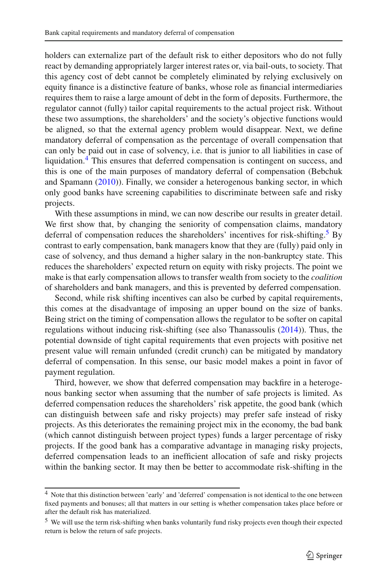holders can externalize part of the default risk to either depositors who do not fully react by demanding appropriately larger interest rates or, via bail-outs, to society. That this agency cost of debt cannot be completely eliminated by relying exclusively on equity finance is a distinctive feature of banks, whose role as financial intermediaries requires them to raise a large amount of debt in the form of deposits. Furthermore, the regulator cannot (fully) tailor capital requirements to the actual project risk. Without these two assumptions, the shareholders' and the society's objective functions would be aligned, so that the external agency problem would disappear. Next, we define mandatory deferral of compensation as the percentage of overall compensation that can only be paid out in case of solvency, i.e. that is junior to all liabilities in case of liquidation.<sup>[4](#page-2-0)</sup> This ensures that deferred compensation is contingent on success, and this is one of the main purposes of mandatory deferral of compensation (Bebchuk and Spaman[n](#page-35-3) [\(2010\)](#page-35-3)). Finally, we consider a heterogenous banking sector, in which only good banks have screening capabilities to discriminate between safe and risky projects.

With these assumptions in mind, we can now describe our results in greater detail. We first show that, by changing the seniority of compensation claims, mandatory deferral of compensation reduces the shareholders' incentives for risk-shifting.<sup>5</sup> By contrast to early compensation, bank managers know that they are (fully) paid only in case of solvency, and thus demand a higher salary in the non-bankruptcy state. This reduces the shareholders' expected return on equity with risky projects. The point we make is that early compensation allows to transfer wealth from society to the *coalition* of shareholders and bank managers, and this is prevented by deferred compensation.

Second, while risk shifting incentives can also be curbed by capital requirements, this comes at the disadvantage of imposing an upper bound on the size of banks. Being strict on the timing of compensation allows the regulator to be softer on capital regulations without inducing risk-shifting (see also Thanassouli[s](#page-36-4) [\(2014](#page-36-4))). Thus, the potential downside of tight capital requirements that even projects with positive net present value will remain unfunded (credit crunch) can be mitigated by mandatory deferral of compensation. In this sense, our basic model makes a point in favor of payment regulation.

Third, however, we show that deferred compensation may backfire in a heterogenous banking sector when assuming that the number of safe projects is limited. As deferred compensation reduces the shareholders' risk appetite, the good bank (which can distinguish between safe and risky projects) may prefer safe instead of risky projects. As this deteriorates the remaining project mix in the economy, the bad bank (which cannot distinguish between project types) funds a larger percentage of risky projects. If the good bank has a comparative advantage in managing risky projects, deferred compensation leads to an inefficient allocation of safe and risky projects within the banking sector. It may then be better to accommodate risk-shifting in the

<span id="page-2-0"></span><sup>4</sup> Note that this distinction between 'early' and 'deferred' compensation is not identical to the one between fixed payments and bonuses; all that matters in our setting is whether compensation takes place before or after the default risk has materialized.

<span id="page-2-1"></span><sup>&</sup>lt;sup>5</sup> We will use the term risk-shifting when banks voluntarily fund risky projects even though their expected return is below the return of safe projects.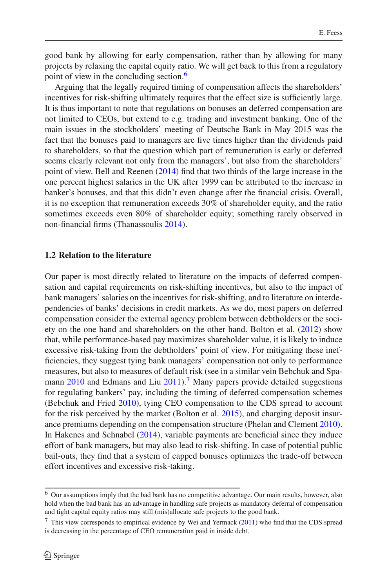good bank by allowing for early compensation, rather than by allowing for many projects by relaxing the capital equity ratio. We will get back to this from a regulatory point of view in the concluding section.<sup>[6](#page-3-0)</sup>

Arguing that the legally required timing of compensation affects the shareholders' incentives for risk-shifting ultimately requires that the effect size is sufficiently large. It is thus important to note that regulations on bonuses an deferred compensation are not limited to CEOs, but extend to e.g. trading and investment banking. One of the main issues in the stockholders' meeting of Deutsche Bank in May 2015 was the fact that the bonuses paid to managers are five times higher than the dividends paid to shareholders, so that the question which part of remuneration is early or deferred seems clearly relevant not only from the managers', but also from the shareholders' point of view. Bell and Reene[n](#page-35-7) [\(2014](#page-35-7)) find that two thirds of the large increase in the one percent highest salaries in the UK after 1999 can be attributed to the increase in banker's bonuses, and that this didn't even change after the financial crisis. Overall, it is no exception that remuneration exceeds 30% of shareholder equity, and the ratio sometimes exceeds even 80% of shareholder equity; something rarely observed in non-financial firms (Thanassouli[s](#page-36-4) [2014\)](#page-36-4).

#### **1.2 Relation to the literature**

Our paper is most directly related to literature on the impacts of deferred compensation and capital requirements on risk-shifting incentives, but also to the impact of bank managers' salaries on the incentives for risk-shifting, and to literature on interdependencies of banks' decisions in credit markets. As we do, most papers on deferred compensation consider the external agency problem between debtholders or the society on the one hand and shareholders on the other hand. Bolton et al[.](#page-35-2) [\(2012\)](#page-35-2) show that, while performance-based pay maximizes shareholder value, it is likely to induce excessive risk-taking from the debtholders' point of view. For mitigating these inefficiencies, they suggest tying bank managers' compensation not only to performance measures, but also to measures of default risk (see in a similar vein Bebchuk and Spama[n](#page-35-3)n  $2010$  and Edmans and Li[u](#page-35-8)  $2011$ ).<sup>[7](#page-3-1)</sup> Many papers provide detailed suggestions for regulating bankers' pay, including the timing of deferred compensation schemes (Bebchuk and Frie[d](#page-35-1) [2010](#page-35-1)), tying CEO compensation to the CDS spread to account for the risk perceived by the market (Bolton et al[.](#page-35-9) [2015\)](#page-35-9), and charging deposit insurance premiums depending on the compensation structure (Phelan and Clemen[t](#page-36-5) [2010](#page-36-5)). In Hakenes and Schnabe[l](#page-36-6) [\(2014](#page-36-6)), variable payments are beneficial since they induce effort of bank managers, but may also lead to risk-shifting. In case of potential public bail-outs, they find that a system of capped bonuses optimizes the trade-off between effort incentives and excessive risk-taking.

<span id="page-3-0"></span><sup>6</sup> Our assumptions imply that the bad bank has no competitive advantage. Our main results, however, also hold when the bad bank has an advantage in handling safe projects as mandatory deferral of compensation and tight capital equity ratios may still (mis)allocate safe projects to the good bank.

<span id="page-3-1"></span> $<sup>7</sup>$  This view corresponds to empirical evidence by Wei and Yermac[k](#page-36-7) [\(2011](#page-36-7)) who find that the CDS spread</sup> is decreasing in the percentage of CEO remuneration paid in inside debt.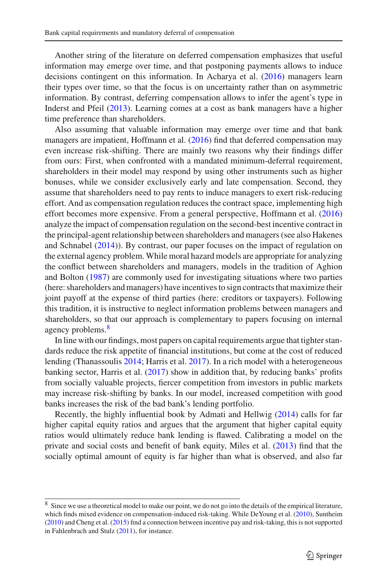Another string of the literature on deferred compensation emphasizes that useful information may emerge over time, and that postponing payments allows to induce decisions contingent on this information. In Acharya et al[.](#page-35-10) [\(2016](#page-35-10)) managers learn their types over time, so that the focus is on uncertainty rather than on asymmetric information. By contrast, deferring compensation allows to infer the agent's type in Inderst and Pfei[l](#page-36-8) [\(2013](#page-36-8)). Learning comes at a cost as bank managers have a higher time preference than shareholders.

Also assuming that valuable information may emerge over time and that bank managers are impatient, Hoffmann et al[.](#page-36-0) [\(2016\)](#page-36-0) find that deferred compensation may even increase risk-shifting. There are mainly two reasons why their findings differ from ours: First, when confronted with a mandated minimum-deferral requirement, shareholders in their model may respond by using other instruments such as higher bonuses, while we consider exclusively early and late compensation. Second, they assume that shareholders need to pay rents to induce managers to exert risk-reducing effort. And as compensation regulation reduces the contract space, implementing high effort becomes more expensive. From a general perspective, Hoffmann et al[.](#page-36-0) [\(2016\)](#page-36-0) analyze the impact of compensation regulation on the second-best incentive contract in the principal-agent relationship between shareholders and managers (see also Hakenes and Schnabe[l](#page-36-6) [\(2014](#page-36-6))). By contrast, our paper focuses on the impact of regulation on the external agency problem. While moral hazard models are appropriate for analyzing the conflict between shareholders and managers, models in the tradition of Aghion and Bolto[n](#page-35-11) [\(1987\)](#page-35-11) are commonly used for investigating situations where two parties (here: shareholders and managers) have incentives to sign contracts that maximize their joint payoff at the expense of third parties (here: creditors or taxpayers). Following this tradition, it is instructive to neglect information problems between managers and shareholders, so that our approach is complementary to papers focusing on internal agency problems.<sup>[8](#page-4-0)</sup>

In line with our findings, most papers on capital requirements argue that tighter standards reduce the risk appetite of financial institutions, but come at the cost of reduced lending (Thanassouli[s](#page-36-4) [2014](#page-36-4); Harris et al[.](#page-36-1) [2017\)](#page-36-1). In a rich model with a heterogeneous banking sector, Harris et al[.](#page-36-1) [\(2017](#page-36-1)) show in addition that, by reducing banks' profits from socially valuable projects, fiercer competition from investors in public markets may increase risk-shifting by banks. In our model, increased competition with good banks increases the risk of the bad bank's lending portfolio.

Recently, the highly influential book by Admati and Hellwi[g](#page-35-0) [\(2014\)](#page-35-0) calls for far higher capital equity ratios and argues that the argument that higher capital equity ratios would ultimately reduce bank lending is flawed. Calibrating a model on the private and social costs and benefit of bank equity, Miles et al[.](#page-36-9) [\(2013\)](#page-36-9) find that the socially optimal amount of equity is far higher than what is observed, and also far

<span id="page-4-0"></span><sup>&</sup>lt;sup>8</sup> Since we use a theoretical model to make our point, we do not go into the details of the empirical literature, which finds mixed evidence on compensation-induced risk-taking[.](#page-35-12) While DeYoung et al. [\(2010](#page-35-12)), Sunthei[m](#page-36-10) [\(2010](#page-36-10)) and Cheng et al[.](#page-35-13) [\(2015\)](#page-35-13) find a connection between incentive pay and risk-taking, this is not supported in Fahlenbrach and Stul[z](#page-35-14) [\(2011\)](#page-35-14), for instance.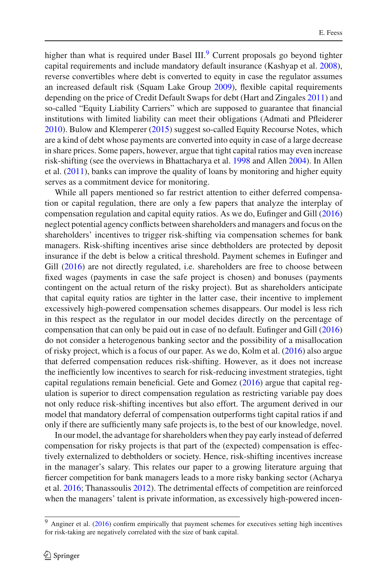higher than what is required under Basel III.<sup>[9](#page-5-0)</sup> Current proposals go beyond tighter capital requirements and include mandatory default insurance (Kashyap et al[.](#page-36-11) [2008](#page-36-11)), reverse convertibles where debt is converted to equity in case the regulator assumes an increased default risk (Squam Lake Grou[p](#page-36-12) [2009\)](#page-36-12), flexible capital requirements depending on the price of Credit Default Swaps for debt (Hart and Zingale[s](#page-36-13) [2011](#page-36-13)) and so-called "Equity Liability Carriers" which are supposed to guarantee that financial institutions with limited liability can meet their obligations (Admati and Pfleidere[r](#page-35-15) [2010\)](#page-35-15). Bulow and Klempere[r](#page-35-16) [\(2015\)](#page-35-16) suggest so-called Equity Recourse Notes, which are a kind of debt whose payments are converted into equity in case of a large decrease in share prices. Some papers, however, argue that tight capital ratios may even increase risk-shifting (see the overviews in Bhattacharya et al[.](#page-35-17) [1998](#page-35-17) and Alle[n](#page-35-18) [2004](#page-35-18)). In Allen et al[.](#page-35-19)  $(2011)$ , banks can improve the quality of loans by monitoring and higher equity serves as a commitment device for monitoring.

While all papers mentioned so far restrict attention to either deferred compensation or capital regulation, there are only a few papers that analyze the interplay of compensation regulation and capital equity ratios. As we do, Eufinger and Gil[l](#page-35-20) [\(2016\)](#page-35-20) neglect potential agency conflicts between shareholders and managers and focus on the shareholders' incentives to trigger risk-shifting via compensation schemes for bank managers. Risk-shifting incentives arise since debtholders are protected by deposit insurance if the debt is below a critical threshold. Payment schemes in Eufinger and Gi[l](#page-35-20)l [\(2016\)](#page-35-20) are not directly regulated, i.e. shareholders are free to choose between fixed wages (payments in case the safe project is chosen) and bonuses (payments contingent on the actual return of the risky project). But as shareholders anticipate that capital equity ratios are tighter in the latter case, their incentive to implement excessively high-powered compensation schemes disappears. Our model is less rich in this respect as the regulator in our model decides directly on the percentage of compensation that can only be paid out in case of no default. Eufinger and Gil[l](#page-35-20) [\(2016\)](#page-35-20) do not consider a heterogenous banking sector and the possibility of a misallocation of risky project, which is a focus of our paper. As we do, Kolm et al[.](#page-36-14) [\(2016\)](#page-36-14) also argue that deferred compensation reduces risk-shifting. However, as it does not increase the inefficiently low incentives to search for risk-reducing investment strategies, tight capital regulations remain beneficial. Gete and Gome[z](#page-35-21) [\(2016\)](#page-35-21) argue that capital regulation is superior to direct compensation regulation as restricting variable pay does not only reduce risk-shifting incentives but also effort. The argument derived in our model that mandatory deferral of compensation outperforms tight capital ratios if and only if there are sufficiently many safe projects is, to the best of our knowledge, novel.

In our model, the advantage for shareholders when they pay early instead of deferred compensation for risky projects is that part of the (expected) compensation is effectively externalized to debtholders or society. Hence, risk-shifting incentives increase in the manager's salary. This relates our paper to a growing literature arguing that fiercer competition for bank managers leads to a more risky banking sector (Acharya et al[.](#page-35-10) [2016;](#page-35-10) Thanassouli[s](#page-36-15) [2012\)](#page-36-15). The detrimental effects of competition are reinforced when the managers' talent is private information, as excessively high-powered incen-

<span id="page-5-0"></span><sup>9</sup> Anginer et al[.](#page-35-22) [\(2016](#page-35-22)) confirm empirically that payment schemes for executives setting high incentives for risk-taking are negatively correlated with the size of bank capital.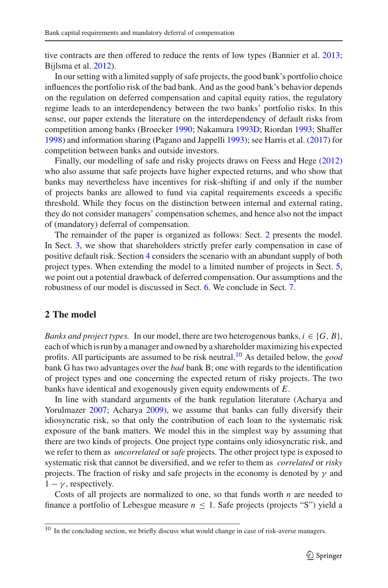tive contracts are then offered to reduce the rents of low types (Bannier et al[.](#page-35-23) [2013](#page-35-23); Bijlsma et al[.](#page-35-24) [2012](#page-35-24)).

In our setting with a limited supply of safe projects, the good bank's portfolio choice influences the portfolio risk of the bad bank. And as the good bank's behavior depends on the regulation on deferred compensation and capital equity ratios, the regulatory regime leads to an interdependency between the two banks' portfolio risks. In this sense, our paper extends the literature on the interdependency of default risks from competition among banks (Broecke[r](#page-35-25) [1990;](#page-35-25) Nakamur[a](#page-36-16) [1993D](#page-36-16); Riorda[n](#page-36-17) [1993;](#page-36-17) Shaffe[r](#page-36-18) [1998\)](#page-36-18) and information sharing (Pagano and Jappell[i](#page-36-19) [1993\)](#page-36-19); see Harris et al[.](#page-36-1) [\(2017](#page-36-1)) for competition between banks and outside investors.

Finally, our modelling of safe and risky projects draws on Feess and Heg[e](#page-35-26) [\(2012\)](#page-35-26) who also assume that safe projects have higher expected returns, and who show that banks may nevertheless have incentives for risk-shifting if and only if the number of projects banks are allowed to fund via capital requirements exceeds a specific threshold. While they focus on the distinction between internal and external rating, they do not consider managers' compensation schemes, and hence also not the impact of (mandatory) deferral of compensation.

The remainder of the paper is organized as follows: Sect. [2](#page-6-0) presents the model. In Sect. [3,](#page-11-0) we show that shareholders strictly prefer early compensation in case of positive default risk. Section [4](#page-12-0) considers the scenario with an abundant supply of both project types. When extending the model to a limited number of projects in Sect. [5,](#page-18-0) we point out a potential drawback of deferred compensation. Our assumptions and the robustness of our model is discussed in Sect. [6.](#page-26-0) We conclude in Sect. [7.](#page-29-0)

## <span id="page-6-0"></span>**2 The model**

*Banks and project types.* In our model, there are two heterogenous banks,  $i \in \{G, B\}$ , each of which is run by a manager and owned by a shareholder maximizing his expected profits. All participants are assumed to be risk neutral[.10](#page-6-1) As detailed below, the *good* bank G has two advantages over the *bad* bank B; one with regards to the identification of project types and one concerning the expected return of risky projects. The two banks have identical and exogenously given equity endowments of *E*.

In line with standard arguments of the bank regulation literature (Acharya and Yorulmaze[r](#page-35-27) [2007](#page-35-27); Achary[a](#page-35-28) [2009](#page-35-28)), we assume that banks can fully diversify their idiosyncratic risk, so that only the contribution of each loan to the systematic risk exposure of the bank matters. We model this in the simplest way by assuming that there are two kinds of projects. One project type contains only idiosyncratic risk, and we refer to them as *uncorrelated* or *safe* projects. The other project type is exposed to systematic risk that cannot be diversified, and we refer to them as *correlated* or *risky* projects. The fraction of risky and safe projects in the economy is denoted by  $\gamma$  and  $1 - \gamma$ , respectively.

Costs of all projects are normalized to one, so that funds worth *n* are needed to finance a portfolio of Lebesgue measure  $n \leq 1$ . Safe projects (projects "S") yield a

<span id="page-6-1"></span> $10$  In the concluding section, we briefly discuss what would change in case of risk-averse managers.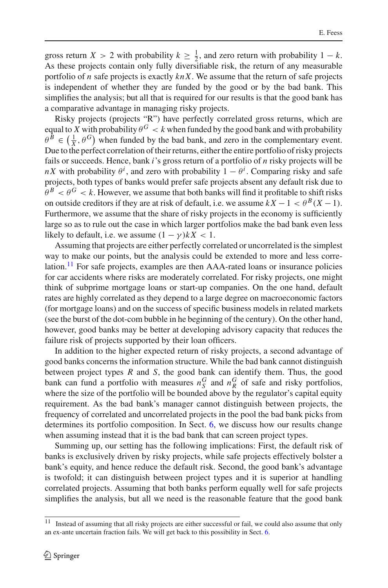gross return *X* > 2 with probability  $k \ge \frac{1}{2}$ , and zero return with probability 1 – *k*. As these projects contain only fully diversifiable risk, the return of any measurable portfolio of *n* safe projects is exactly *knX*. We assume that the return of safe projects is independent of whether they are funded by the good or by the bad bank. This simplifies the analysis; but all that is required for our results is that the good bank has a comparative advantage in managing risky projects.

Risky projects (projects "R") have perfectly correlated gross returns, which are equal to *X* with probability  $\theta$ <sup>G</sup> < *k* when funded by the good bank and with probability  $\theta^B \in \left(\frac{1}{X}, \theta^G\right)$  when funded by the bad bank, and zero in the complementary event. Due to the perfect correlation of their returns, either the entire portfolio of risky projects fails or succeeds. Hence, bank *i*'s gross return of a portfolio of *n* risky projects will be *nX* with probability  $\theta^i$ , and zero with probability  $1 - \theta^i$ . Comparing risky and safe projects, both types of banks would prefer safe projects absent any default risk due to  $\theta^B < \theta^G < k$ . However, we assume that both banks will find it profitable to shift risks on outside creditors if they are at risk of default, i.e. we assume  $kX - 1 < \theta^B(X - 1)$ . Furthermore, we assume that the share of risky projects in the economy is sufficiently large so as to rule out the case in which larger portfolios make the bad bank even less likely to default, i.e. we assume  $(1 - \gamma)kX < 1$ .

Assuming that projects are either perfectly correlated or uncorrelated is the simplest way to make our points, but the analysis could be extended to more and less corre-lation.<sup>[11](#page-7-0)</sup> For safe projects, examples are then  $AAA$ -rated loans or insurance policies for car accidents where risks are moderately correlated. For risky projects, one might think of subprime mortgage loans or start-up companies. On the one hand, default rates are highly correlated as they depend to a large degree on macroeconomic factors (for mortgage loans) and on the success of specific business models in related markets (see the burst of the dot-com bubble in he beginning of the century). On the other hand, however, good banks may be better at developing advisory capacity that reduces the failure risk of projects supported by their loan officers.

In addition to the higher expected return of risky projects, a second advantage of good banks concerns the information structure. While the bad bank cannot distinguish between project types *R* and *S*, the good bank can identify them. Thus, the good bank can fund a portfolio with measures  $n_S^G$  and  $n_R^G$  of safe and risky portfolios, where the size of the portfolio will be bounded above by the regulator's capital equity requirement. As the bad bank's manager cannot distinguish between projects, the frequency of correlated and uncorrelated projects in the pool the bad bank picks from determines its portfolio composition. In Sect. [6,](#page-26-0) we discuss how our results change when assuming instead that it is the bad bank that can screen project types.

Summing up, our setting has the following implications: First, the default risk of banks is exclusively driven by risky projects, while safe projects effectively bolster a bank's equity, and hence reduce the default risk. Second, the good bank's advantage is twofold; it can distinguish between project types and it is superior at handling correlated projects. Assuming that both banks perform equally well for safe projects simplifies the analysis, but all we need is the reasonable feature that the good bank

<span id="page-7-0"></span><sup>&</sup>lt;sup>11</sup> Instead of assuming that all risky projects are either successful or fail, we could also assume that only an ex-ante uncertain fraction fails. We will get back to this possibility in Sect. [6.](#page-26-0)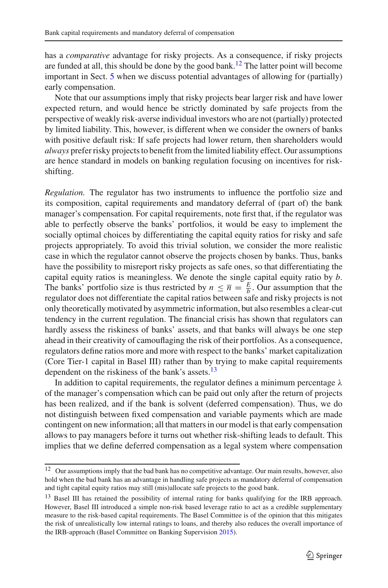has a *comparative* advantage for risky projects. As a consequence, if risky projects are funded at all, this should be done by the good bank.<sup>12</sup> The latter point will become important in Sect. [5](#page-18-0) when we discuss potential advantages of allowing for (partially) early compensation.

Note that our assumptions imply that risky projects bear larger risk and have lower expected return, and would hence be strictly dominated by safe projects from the perspective of weakly risk-averse individual investors who are not (partially) protected by limited liability. This, however, is different when we consider the owners of banks with positive default risk: If safe projects had lower return, then shareholders would *always* prefer risky projects to benefit from the limited liability effect. Our assumptions are hence standard in models on banking regulation focusing on incentives for riskshifting.

*Regulation.* The regulator has two instruments to influence the portfolio size and its composition, capital requirements and mandatory deferral of (part of) the bank manager's compensation. For capital requirements, note first that, if the regulator was able to perfectly observe the banks' portfolios, it would be easy to implement the socially optimal choices by differentiating the capital equity ratios for risky and safe projects appropriately. To avoid this trivial solution, we consider the more realistic case in which the regulator cannot observe the projects chosen by banks. Thus, banks have the possibility to misreport risky projects as safe ones, so that differentiating the capital equity ratios is meaningless. We denote the single capital equity ratio by *b*. The banks' portfolio size is thus restricted by  $n \leq \overline{n} = \frac{E}{b}$ . Our assumption that the regulator does not differentiate the capital ratios between safe and risky projects is not only theoretically motivated by asymmetric information, but also resembles a clear-cut tendency in the current regulation. The financial crisis has shown that regulators can hardly assess the riskiness of banks' assets, and that banks will always be one step ahead in their creativity of camouflaging the risk of their portfolios. As a consequence, regulators define ratios more and more with respect to the banks' market capitalization (Core Tier-1 capital in Basel III) rather than by trying to make capital requirements dependent on the riskiness of the bank's assets.<sup>[13](#page-8-1)</sup>

In addition to capital requirements, the regulator defines a minimum percentage  $\lambda$ of the manager's compensation which can be paid out only after the return of projects has been realized, and if the bank is solvent (deferred compensation). Thus, we do not distinguish between fixed compensation and variable payments which are made contingent on new information; all that matters in our model is that early compensation allows to pay managers before it turns out whether risk-shifting leads to default. This implies that we define deferred compensation as a legal system where compensation

<span id="page-8-0"></span><sup>&</sup>lt;sup>12</sup> Our assumptions imply that the bad bank has no competitive advantage. Our main results, however, also hold when the bad bank has an advantage in handling safe projects as mandatory deferral of compensation and tight capital equity ratios may still (mis)allocate safe projects to the good bank.

<span id="page-8-1"></span><sup>&</sup>lt;sup>13</sup> Basel III has retained the possibility of internal rating for banks qualifying for the IRB approach. However, Basel III introduced a simple non-risk based leverage ratio to act as a credible supplementary measure to the risk-based capital requirements. The Basel Committee is of the opinion that this mitigates the risk of unrealistically low internal ratings to loans, and thereby also reduces the overall importance of the IRB-approach (Basel Committee on Banking Supervisio[n](#page-35-29) [2015](#page-35-29)).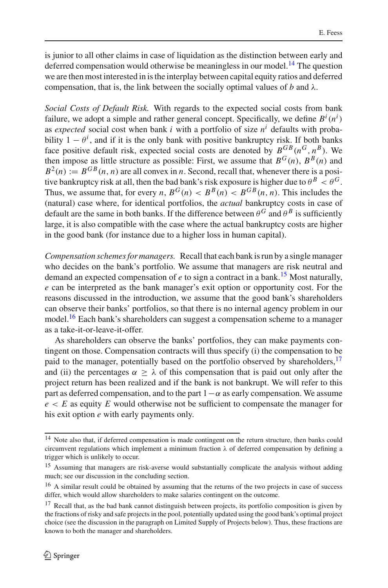is junior to all other claims in case of liquidation as the distinction between early and deferred compensation would otherwise be meaningless in our model.<sup>[14](#page-9-0)</sup> The question we are then most interested in is the interplay between capital equity ratios and deferred compensation, that is, the link between the socially optimal values of *b* and  $\lambda$ .

*Social Costs of Default Risk.* With regards to the expected social costs from bank failure, we adopt a simple and rather general concept. Specifically, we define  $B^i(n^i)$ as *expected* social cost when bank *i* with a portfolio of size  $n<sup>i</sup>$  defaults with probability  $1 - \theta^i$ , and if it is the only bank with positive bankruptcy risk. If both banks face positive default risk, expected social costs are denoted by  $B^{GB}(n^G, n^B)$ . We then impose as little structure as possible: First, we assume that  $B^{G}(n)$ ,  $B^{B}(n)$  and  $B^2(n) := B^{GB}(n, n)$  are all convex in *n*. Second, recall that, whenever there is a positive bankruptcy risk at all, then the bad bank's risk exposure is higher due to  $\theta^B < \theta^G$ . Thus, we assume that, for every *n*,  $B^G(n) < B^B(n) < B^{GB}(n, n)$ . This includes the (natural) case where, for identical portfolios, the *actual* bankruptcy costs in case of default are the same in both banks. If the difference between  $\theta^G$  and  $\theta^B$  is sufficiently large, it is also compatible with the case where the actual bankruptcy costs are higher in the good bank (for instance due to a higher loss in human capital).

*Compensation schemes for managers.* Recall that each bank is run by a single manager who decides on the bank's portfolio. We assume that managers are risk neutral and demand an expected compensation of  $e$  to sign a contract in a bank.<sup>[15](#page-9-1)</sup> Most naturally, *e* can be interpreted as the bank manager's exit option or opportunity cost. For the reasons discussed in the introduction, we assume that the good bank's shareholders can observe their banks' portfolios, so that there is no internal agency problem in our model.<sup>16</sup> Each bank's shareholders can suggest a compensation scheme to a manager as a take-it-or-leave-it-offer.

As shareholders can observe the banks' portfolios, they can make payments contingent on those. Compensation contracts will thus specify (i) the compensation to be paid to the manager, potentially based on the portfolio observed by shareholders,<sup>17</sup> and (ii) the percentages  $\alpha > \lambda$  of this compensation that is paid out only after the project return has been realized and if the bank is not bankrupt. We will refer to this part as deferred compensation, and to the part  $1-\alpha$  as early compensation. We assume *e* < *E* as equity *E* would otherwise not be sufficient to compensate the manager for his exit option *e* with early payments only.

<span id="page-9-0"></span><sup>&</sup>lt;sup>14</sup> Note also that, if deferred compensation is made contingent on the return structure, then banks could circumvent regulations which implement a minimum fraction  $\lambda$  of deferred compensation by defining a trigger which is unlikely to occur.

<span id="page-9-1"></span><sup>&</sup>lt;sup>15</sup> Assuming that managers are risk-averse would substantially complicate the analysis without adding much; see our discussion in the concluding section.

<span id="page-9-2"></span><sup>&</sup>lt;sup>16</sup> A similar result could be obtained by assuming that the returns of the two projects in case of success differ, which would allow shareholders to make salaries contingent on the outcome.

<span id="page-9-3"></span><sup>&</sup>lt;sup>17</sup> Recall that, as the bad bank cannot distinguish between projects, its portfolio composition is given by the fractions of risky and safe projects in the pool, potentially updated using the good bank's optimal project choice (see the discussion in the paragraph on Limited Supply of Projects below). Thus, these fractions are known to both the manager and shareholders.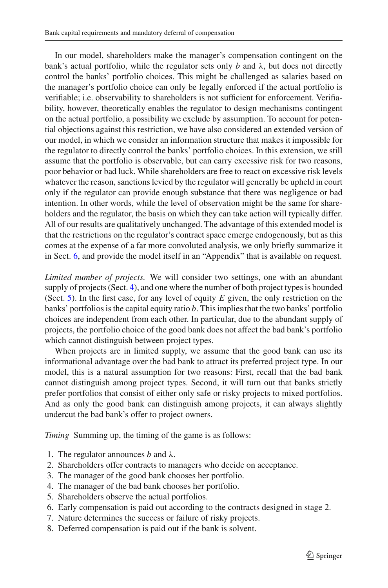In our model, shareholders make the manager's compensation contingent on the bank's actual portfolio, while the regulator sets only *b* and  $\lambda$ , but does not directly control the banks' portfolio choices. This might be challenged as salaries based on the manager's portfolio choice can only be legally enforced if the actual portfolio is verifiable; i.e. observability to shareholders is not sufficient for enforcement. Verifiability, however, theoretically enables the regulator to design mechanisms contingent on the actual portfolio, a possibility we exclude by assumption. To account for potential objections against this restriction, we have also considered an extended version of our model, in which we consider an information structure that makes it impossible for the regulator to directly control the banks' portfolio choices. In this extension, we still assume that the portfolio is observable, but can carry excessive risk for two reasons, poor behavior or bad luck. While shareholders are free to react on excessive risk levels whatever the reason, sanctions levied by the regulator will generally be upheld in court only if the regulator can provide enough substance that there was negligence or bad intention. In other words, while the level of observation might be the same for shareholders and the regulator, the basis on which they can take action will typically differ. All of our results are qualitatively unchanged. The advantage of this extended model is that the restrictions on the regulator's contract space emerge endogenously, but as this comes at the expense of a far more convoluted analysis, we only briefly summarize it in Sect. [6,](#page-26-0) and provide the model itself in an "Appendix" that is available on request.

*Limited number of projects.* We will consider two settings, one with an abundant supply of projects (Sect. [4\)](#page-12-0), and one where the number of both project types is bounded (Sect. [5\)](#page-18-0). In the first case, for any level of equity *E* given, the only restriction on the banks' portfolios is the capital equity ratio *b*. This implies that the two banks' portfolio choices are independent from each other. In particular, due to the abundant supply of projects, the portfolio choice of the good bank does not affect the bad bank's portfolio which cannot distinguish between project types.

When projects are in limited supply, we assume that the good bank can use its informational advantage over the bad bank to attract its preferred project type. In our model, this is a natural assumption for two reasons: First, recall that the bad bank cannot distinguish among project types. Second, it will turn out that banks strictly prefer portfolios that consist of either only safe or risky projects to mixed portfolios. And as only the good bank can distinguish among projects, it can always slightly undercut the bad bank's offer to project owners.

*Timing* Summing up, the timing of the game is as follows:

- 1. The regulator announces  $b$  and  $\lambda$ .
- 2. Shareholders offer contracts to managers who decide on acceptance.
- 3. The manager of the good bank chooses her portfolio.
- 4. The manager of the bad bank chooses her portfolio.
- 5. Shareholders observe the actual portfolios.
- 6. Early compensation is paid out according to the contracts designed in stage 2.
- 7. Nature determines the success or failure of risky projects.
- 8. Deferred compensation is paid out if the bank is solvent.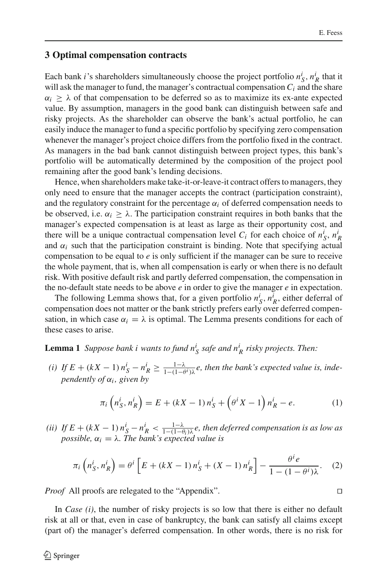### <span id="page-11-0"></span>**3 Optimal compensation contracts**

Each bank *i*'s shareholders simultaneously choose the project portfolio  $n_S^i$ ,  $n_R^i$  that it will ask the manager to fund, the manager's contractual compensation  $C_i$  and the share  $\alpha_i \geq \lambda$  of that compensation to be deferred so as to maximize its ex-ante expected value. By assumption, managers in the good bank can distinguish between safe and risky projects. As the shareholder can observe the bank's actual portfolio, he can easily induce the manager to fund a specific portfolio by specifying zero compensation whenever the manager's project choice differs from the portfolio fixed in the contract. As managers in the bad bank cannot distinguish between project types, this bank's portfolio will be automatically determined by the composition of the project pool remaining after the good bank's lending decisions.

Hence, when shareholders make take-it-or-leave-it contract offers to managers, they only need to ensure that the manager accepts the contract (participation constraint), and the regulatory constraint for the percentage  $\alpha_i$  of deferred compensation needs to be observed, i.e.  $\alpha_i > \lambda$ . The participation constraint requires in both banks that the manager's expected compensation is at least as large as their opportunity cost, and there will be a unique contractual compensation level  $C_i$  for each choice of  $n_S^i$ ,  $n_R^i$ and  $\alpha_i$  such that the participation constraint is binding. Note that specifying actual compensation to be equal to *e* is only sufficient if the manager can be sure to receive the whole payment, that is, when all compensation is early or when there is no default risk. With positive default risk and partly deferred compensation, the compensation in the no-default state needs to be above *e* in order to give the manager *e* in expectation.

The following Lemma shows that, for a given portfolio  $n_S^i$ ,  $n_R^i$ , either deferral of compensation does not matter or the bank strictly prefers early over deferred compensation, in which case  $\alpha_i = \lambda$  is optimal. The Lemma presents conditions for each of these cases to arise.

# <span id="page-11-1"></span>**Lemma 1** *Suppose bank i wants to fund*  $n_S^i$  *safe and*  $n_R^i$  *risky projects. Then:*

*(i)* If  $E + (kX - 1) n_S^i - n_R^i \ge \frac{1 - \lambda}{1 - (1 - \theta^i) \lambda} e$ , then the bank's expected value is, inde*pendently of*  $\alpha_i$ *, given by* 

<span id="page-11-3"></span>
$$
\pi_i \left( n_S^i, n_R^i \right) = E + (kX - 1) n_S^i + \left( \theta^i X - 1 \right) n_R^i - e. \tag{1}
$$

(*ii*) If  $E + (kX - 1) n_S^i - n_R^i < \frac{1-\lambda}{1-(1-\theta_i)\lambda}e$ , then deferred compensation is as low as *possible,*  $\alpha_i = \lambda$ *. The bank's expected value is* 

<span id="page-11-2"></span>
$$
\pi_i\left(n_S^i, n_R^i\right) = \theta^i\left[E + (kX - 1)n_S^i + (X - 1)n_R^i\right] - \frac{\theta^i e}{1 - (1 - \theta^i)\lambda}.
$$
 (2)

*Proof* All proofs are relegated to the "Appendix".

In *Case (i)*, the number of risky projects is so low that there is either no default risk at all or that, even in case of bankruptcy, the bank can satisfy all claims except (part of) the manager's deferred compensation. In other words, there is no risk for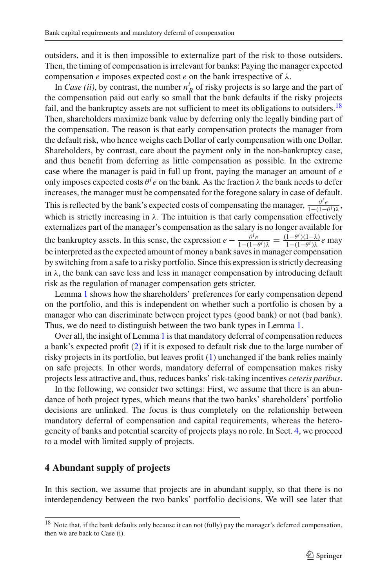outsiders, and it is then impossible to externalize part of the risk to those outsiders. Then, the timing of compensation is irrelevant for banks: Paying the manager expected compensation  $e$  imposes expected cost  $e$  on the bank irrespective of  $\lambda$ .

In *Case (ii)*, by contrast, the number  $n_R^i$  of risky projects is so large and the part of the compensation paid out early so small that the bank defaults if the risky projects fail, and the bankruptcy assets are not sufficient to meet its obligations to outsiders.<sup>18</sup> Then, shareholders maximize bank value by deferring only the legally binding part of the compensation. The reason is that early compensation protects the manager from the default risk, who hence weighs each Dollar of early compensation with one Dollar. Shareholders, by contrast, care about the payment only in the non-bankruptcy case, and thus benefit from deferring as little compensation as possible. In the extreme case where the manager is paid in full up front, paying the manager an amount of *e* only imposes expected costs  $\theta^i e$  on the bank. As the fraction  $\lambda$  the bank needs to defer increases, the manager must be compensated for the foregone salary in case of default. This is reflected by the bank's expected costs of compensating the manager,  $\frac{\theta^i e}{1-(1-\theta^i)}$ λ which is strictly increasing in  $\lambda$ . The intuition is that early compensation effectively externalizes part of the manager's compensation as the salary is no longer available for the bankruptcy assets. In this sense, the expression  $e - \frac{\theta^i e}{1-(1-\theta^i)\lambda} = \frac{(1-\theta^i)(1-\lambda)}{1-(1-\theta^i)\lambda}e$  may be interpreted as the expected amount of money a bank saves in manager compensation by switching from a safe to a risky portfolio. Since this expression is strictly decreasing in  $\lambda$ , the bank can save less and less in manager compensation by introducing default risk as the regulation of manager compensation gets stricter.

Lemma [1](#page-11-1) shows how the shareholders' preferences for early compensation depend on the portfolio, and this is independent on whether such a portfolio is chosen by a manager who can discriminate between project types (good bank) or not (bad bank). Thus, we do need to distinguish between the two bank types in Lemma [1.](#page-11-1)

Over all, the insight of Lemma [1](#page-11-1) is that mandatory deferral of compensation reduces a bank's expected profit [\(2\)](#page-11-2) if it is exposed to default risk due to the large number of risky projects in its portfolio, but leaves profit [\(1\)](#page-11-3) unchanged if the bank relies mainly on safe projects. In other words, mandatory deferral of compensation makes risky projects less attractive and, thus, reduces banks' risk-taking incentives *ceteris paribus*.

In the following, we consider two settings: First, we assume that there is an abundance of both project types, which means that the two banks' shareholders' portfolio decisions are unlinked. The focus is thus completely on the relationship between mandatory deferral of compensation and capital requirements, whereas the heterogeneity of banks and potential scarcity of projects plays no role. In Sect. [4,](#page-12-0) we proceed to a model with limited supply of projects.

# <span id="page-12-0"></span>**4 Abundant supply of projects**

In this section, we assume that projects are in abundant supply, so that there is no interdependency between the two banks' portfolio decisions. We will see later that

<span id="page-12-1"></span><sup>&</sup>lt;sup>18</sup> Note that, if the bank defaults only because it can not (fully) pay the manager's deferred compensation, then we are back to Case (i).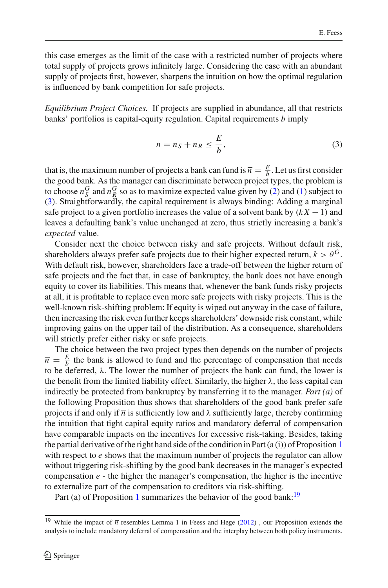this case emerges as the limit of the case with a restricted number of projects where total supply of projects grows infinitely large. Considering the case with an abundant supply of projects first, however, sharpens the intuition on how the optimal regulation is influenced by bank competition for safe projects.

*Equilibrium Project Choices.* If projects are supplied in abundance, all that restricts banks' portfolios is capital-equity regulation. Capital requirements *b* imply

<span id="page-13-0"></span>
$$
n = n_S + n_R \le \frac{E}{b},\tag{3}
$$

that is, the maximum number of projects a bank can fund is  $\bar{n} = \frac{E}{b}$ . Let us first consider the good bank. As the manager can discriminate between project types, the problem is to choose  $n_S^G$  and  $n_R^G$  so as to maximize expected value given by [\(2\)](#page-11-2) and [\(1\)](#page-11-3) subject to [\(3\)](#page-13-0). Straightforwardly, the capital requirement is always binding: Adding a marginal safe project to a given portfolio increases the value of a solvent bank by  $(kX - 1)$  and leaves a defaulting bank's value unchanged at zero, thus strictly increasing a bank's *expected* value.

Consider next the choice between risky and safe projects. Without default risk, shareholders always prefer safe projects due to their higher expected return,  $k > \theta$ <sup>G</sup>. With default risk, however, shareholders face a trade-off between the higher return of safe projects and the fact that, in case of bankruptcy, the bank does not have enough equity to cover its liabilities. This means that, whenever the bank funds risky projects at all, it is profitable to replace even more safe projects with risky projects. This is the well-known risk-shifting problem: If equity is wiped out anyway in the case of failure, then increasing the risk even further keeps shareholders' downside risk constant, while improving gains on the upper tail of the distribution. As a consequence, shareholders will strictly prefer either risky or safe projects.

The choice between the two project types then depends on the number of projects  $\overline{n} = \frac{E}{b}$  the bank is allowed to fund and the percentage of compensation that needs to be deferred,  $\lambda$ . The lower the number of projects the bank can fund, the lower is the benefit from the limited liability effect. Similarly, the higher  $\lambda$ , the less capital can indirectly be protected from bankruptcy by transferring it to the manager. *Part (a)* of the following Proposition thus shows that shareholders of the good bank prefer safe projects if and only if  $\overline{n}$  is sufficiently low and  $\lambda$  sufficiently large, thereby confirming the intuition that tight capital equity ratios and mandatory deferral of compensation have comparable impacts on the incentives for excessive risk-taking. Besides, taking the partial derivative of the right hand side of the condition in Part  $(a(i))$  of Proposition [1](#page-13-1) with respect to *e* shows that the maximum number of projects the regulator can allow without triggering risk-shifting by the good bank decreases in the manager's expected compensation  $e$  - the higher the manager's compensation, the higher is the incentive to externalize part of the compensation to creditors via risk-shifting.

<span id="page-13-1"></span>Part (a) of Proposition [1](#page-13-1) summarizes the behavior of the good bank:<sup>[19](#page-13-2)</sup>

<span id="page-13-2"></span><sup>&</sup>lt;sup>19</sup> Whil[e](#page-35-26) the impact of  $\overline{n}$  resembles Lemma 1 in Feess and Hege [\(2012\)](#page-35-26), our Proposition extends the analysis to include mandatory deferral of compensation and the interplay between both policy instruments.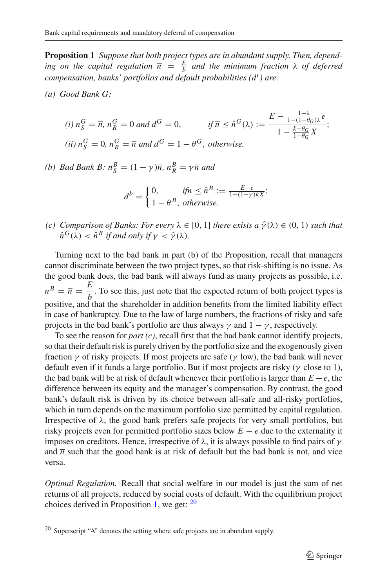**Proposition 1** *Suppose that both project types are in abundant supply. Then, depending on the capital regulation*  $\bar{n} = \frac{E}{b}$  *and the minimum fraction*  $\lambda$  *of deferred compensation, banks' portfolios and default probabilities (d<sup>i</sup> ) are:*

*(a) Good Bank G:*

(i) 
$$
n_S^G = \overline{n}
$$
,  $n_R^G = 0$  and  $d^G = 0$ , if  $\overline{n} \le \hat{n}^G(\lambda) := \frac{E - \frac{1 - \lambda}{1 - (1 - \theta_G)\lambda}e}{1 - \frac{k - \theta_G}{1 - \theta_G}X}$ ;  
(ii)  $n_S^G = 0$ ,  $n_R^G = \overline{n}$  and  $d^G = 1 - \theta^G$ , otherwise.

*(b) Bad Bank B:*  $n_S^B = (1 - \gamma)\overline{n}$ ,  $n_R^B = \gamma \overline{n}$  *and* 

$$
d^{b} = \begin{cases} 0, & \text{if } \overline{n} \leq \hat{n}^{B} := \frac{E-e}{1-(1-\gamma)kX}; \\ 1-\theta^{B}, & \text{otherwise.} \end{cases}
$$

*(c)* Comparison of Banks: For every  $\lambda \in [0, 1]$  there exists a  $\hat{\gamma}(\lambda) \in (0, 1)$  such that  $\hat{n}^{G}(\lambda) < \hat{n}^{B}$  *if and only if*  $\gamma < \hat{\gamma}(\lambda)$ *.* 

Turning next to the bad bank in part (b) of the Proposition, recall that managers cannot discriminate between the two project types, so that risk-shifting is no issue. As the good bank does, the bad bank will always fund as many projects as possible, i.e.  $n^B = \overline{n} = \frac{E}{b}$ . To see this, just note that the expected return of both project types is positive, and that the shareholder in addition benefits from the limited liability effect in case of bankruptcy. Due to the law of large numbers, the fractions of risky and safe projects in the bad bank's portfolio are thus always  $\gamma$  and  $1 - \gamma$ , respectively.

To see the reason for *part (c)*, recall first that the bad bank cannot identify projects, so that their default risk is purely driven by the portfolio size and the exogenously given fraction  $\gamma$  of risky projects. If most projects are safe ( $\gamma$  low), the bad bank will never default even if it funds a large portfolio. But if most projects are risky ( $\gamma$  close to 1), the bad bank will be at risk of default whenever their portfolio is larger than  $E - e$ , the difference between its equity and the manager's compensation. By contrast, the good bank's default risk is driven by its choice between all-safe and all-risky portfolios, which in turn depends on the maximum portfolio size permitted by capital regulation. Irrespective of  $\lambda$ , the good bank prefers safe projects for very small portfolios, but risky projects even for permitted portfolio sizes below  $E - e$  due to the externality it imposes on creditors. Hence, irrespective of  $\lambda$ , it is always possible to find pairs of  $\gamma$ and  $\overline{n}$  such that the good bank is at risk of default but the bad bank is not, and vice versa.

*Optimal Regulation.* Recall that social welfare in our model is just the sum of net returns of all projects, reduced by social costs of default. With the equilibrium project choices derived in Proposition [1,](#page-13-1) we get:  $20$ 

<span id="page-14-0"></span><sup>&</sup>lt;sup>20</sup> Superscript "A" denotes the setting where safe projects are in abundant supply.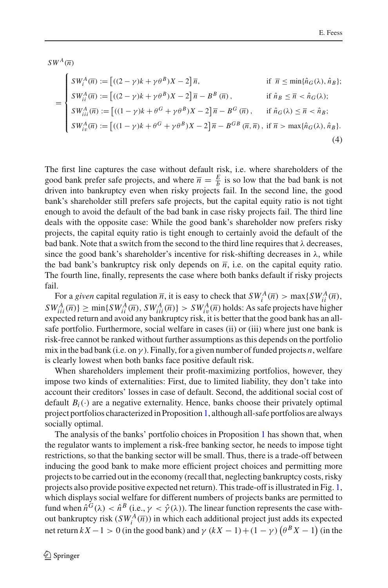$SW^A(\overline{n})$ 

<span id="page-15-0"></span>
$$
= \begin{cases} SW_i^A(\overline{n}) := \left[ ((2 - \gamma)k + \gamma \theta^B)X - 2 \right] \overline{n}, & \text{if } \overline{n} \le \min\{\hat{n}_G(\lambda), \hat{n}_B\}; \\ SW_i^A(\overline{n}) := \left[ ((2 - \gamma)k + \gamma \theta^B)X - 2 \right] \overline{n} - B^B(\overline{n}), & \text{if } \hat{n}_B \le \overline{n} < \hat{n}_G(\lambda); \\ SW_{iii}^A(\overline{n}) := \left[ ((1 - \gamma)k + \theta^G + \gamma \theta^B)X - 2 \right] \overline{n} - B^G(\overline{n}), & \text{if } \hat{n}_G(\lambda) \le \overline{n} < \hat{n}_B; \\ SW_{iv}^A(\overline{n}) := \left[ ((1 - \gamma)k + \theta^G + \gamma \theta^B)X - 2 \right] \overline{n} - B^{GB}(\overline{n}, \overline{n}), & \text{if } \overline{n} > \max\{\hat{n}_G(\lambda), \hat{n}_B\}. \end{cases} \tag{4}
$$

The first line captures the case without default risk, i.e. where shareholders of the good bank prefer safe projects, and where  $\bar{n} = \frac{E}{b}$  is so low that the bad bank is not driven into bankruptcy even when risky projects fail. In the second line, the good bank's shareholder still prefers safe projects, but the capital equity ratio is not tight enough to avoid the default of the bad bank in case risky projects fail. The third line deals with the opposite case: While the good bank's shareholder now prefers risky projects, the capital equity ratio is tight enough to certainly avoid the default of the bad bank. Note that a switch from the second to the third line requires that  $\lambda$  decreases, since the good bank's shareholder's incentive for risk-shifting decreases in  $\lambda$ , while the bad bank's bankruptcy risk only depends on  $\overline{n}$ , i.e. on the capital equity ratio. The fourth line, finally, represents the case where both banks default if risky projects fail.

For a *given* capital regulation  $\overline{n}$ , it is easy to check that  $SW_i^A(\overline{n}) > \max\{SW_{ii}^A(\overline{n}),\}$  $SW_{iii}^{A}(\overline{n})$ }  $\geq$  min{*SW*<sub>*ii*</sub></sub> $\overline{n}$ , *SW*<sub>*iii*</sub> $\overline{n}$ }  $>$  *SW*<sub>*i*<sup>*i*</sup></sup> $\overline{n}$ *)* holds: As safe projects have higher</sub> expected return and avoid any bankruptcy risk, it is better that the good bank has an allsafe portfolio. Furthermore, social welfare in cases (ii) or (iii) where just one bank is risk-free cannot be ranked without further assumptions as this depends on the portfolio mix in the bad bank (i.e. on  $\gamma$ ). Finally, for a given number of funded projects *n*, welfare is clearly lowest when both banks face positive default risk.

When shareholders implement their profit-maximizing portfolios, however, they impose two kinds of externalities: First, due to limited liability, they don't take into account their creditors' losses in case of default. Second, the additional social cost of default  $B_i(\cdot)$  are a negative externality. Hence, banks choose their privately optimal project portfolios characterized in Proposition [1,](#page-13-1) although all-safe portfolios are always socially optimal.

The analysis of the banks' portfolio choices in Proposition [1](#page-13-1) has shown that, when the regulator wants to implement a risk-free banking sector, he needs to impose tight restrictions, so that the banking sector will be small. Thus, there is a trade-off between inducing the good bank to make more efficient project choices and permitting more projects to be carried out in the economy (recall that, neglecting bankruptcy costs, risky projects also provide positive expected net return). This trade-off is illustrated in Fig. [1,](#page-16-0) which displays social welfare for different numbers of projects banks are permitted to fund when  $\hat{n}^{\tilde{G}}(\lambda) < \hat{n}^{\tilde{B}}$  (i.e.,  $\gamma < \hat{\gamma}(\lambda)$ ). The linear function represents the case without bankruptcy risk  $(SW_i^A(\overline{n}))$  in which each additional project just adds its expected net return  $kX - 1 > 0$  (in the good bank) and  $\gamma (kX - 1) + (1 - \gamma) (\theta^B X - 1)$  (in the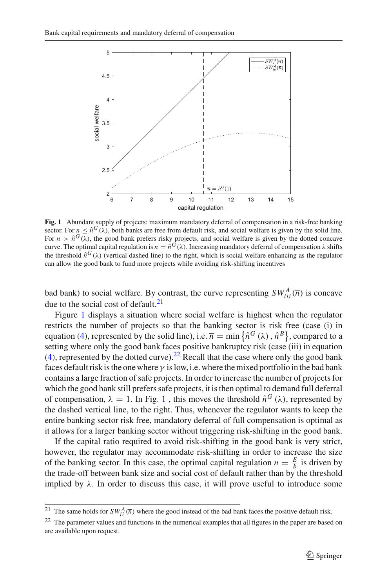

<span id="page-16-0"></span>**Fig. 1** Abundant supply of projects: maximum mandatory deferral of compensation in a risk-free banking sector. For  $n \leq \hat{n}^G(\lambda)$ , both banks are free from default risk, and social welfare is given by the solid line. For  $n > \hat{n}^G(\lambda)$ , the good bank prefers risky projects, and social welfare is given by the dotted concave curve. The optimal capital regulation is  $n = \hat{n}^G(\lambda)$ . Increasing mandatory deferral of compensation  $\lambda$  shifts the threshold  $\hat{n}^G(\lambda)$  (vertical dashed line) to the right, which is social welfare enhancing as the regulator can allow the good bank to fund more projects while avoiding risk-shifting incentives

bad bank) to social welfare. By contrast, the curve representing  $SW_{iii}^A(\overline{n})$  is concave due to the social cost of default. $21$ 

Figure [1](#page-16-0) displays a situation where social welfare is highest when the regulator restricts the number of projects so that the banking sector is risk free (case (i) in equation [\(4\)](#page-15-0), represented by the solid line), i.e.  $\bar{n} = \min \{ \hat{n}^G(\lambda), \hat{n}^B \}$ , compared to a setting where only the good bank faces positive bankruptcy risk (case (iii) in equation  $(4)$ , represented by the dotted curve).<sup>22</sup> Recall that the case where only the good bank faces default risk is the one where  $\gamma$  is low, i.e. where the mixed portfolio in the bad bank contains a large fraction of safe projects. In order to increase the number of projects for which the good bank still prefers safe projects, it is then optimal to demand full deferral of compensation,  $\lambda = 1$  $\lambda = 1$ . In Fig. 1, this moves the threshold  $\hat{n}^G(\lambda)$ , represented by the dashed vertical line, to the right. Thus, whenever the regulator wants to keep the entire banking sector risk free, mandatory deferral of full compensation is optimal as it allows for a larger banking sector without triggering risk-shifting in the good bank.

If the capital ratio required to avoid risk-shifting in the good bank is very strict, however, the regulator may accommodate risk-shifting in order to increase the size of the banking sector. In this case, the optimal capital regulation  $\bar{n} = \frac{E}{b}$  is driven by the trade-off between bank size and social cost of default rather than by the threshold implied by  $\lambda$ . In order to discuss this case, it will prove useful to introduce some

<sup>&</sup>lt;sup>21</sup> The same holds for  $SW_{ii}^A(\overline{n})$  where the good instead of the bad bank faces the positive default risk.

<span id="page-16-2"></span><span id="page-16-1"></span> $22$  The parameter values and functions in the numerical examples that all figures in the paper are based on are available upon request.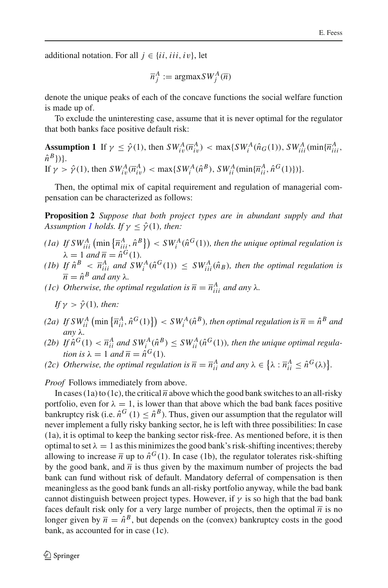additional notation. For all  $j \in \{ii, iii, iv\}$ , let

$$
\overline{n}_j^A := \text{argmax} \, SW_j^A(\overline{n})
$$

denote the unique peaks of each of the concave functions the social welfare function is made up of.

<span id="page-17-0"></span>To exclude the uninteresting case, assume that it is never optimal for the regulator that both banks face positive default risk:

**Assumption 1** If  $\gamma \leq \hat{\gamma}(1)$ , then  $SW_{iv}^A(\overline{n}_{iv}^A) < \max\{SW_i^A(\hat{n}_G(1)), SW_{iii}^A(\min\{\overline{n}_{iii}^A, \overline{n}_{iv}^A\})$  $\hat{n}^B$ }) }. If  $\gamma > \hat{\gamma}(1)$ , then  $SW_{iv}^{A}(\overline{n}_{iv}^{A}) < \max\{SW_{i}^{A}(\hat{n}^{B}), SW_{ii}^{A}(\min\{\overline{n}_{ii}^{A}, \hat{n}^{G}(1)\})\}.$ 

<span id="page-17-1"></span>Then, the optimal mix of capital requirement and regulation of managerial compensation can be characterized as follows:

**Proposition 2** *Suppose that both project types are in abundant supply and that Assumption [1](#page-17-0) holds. If*  $\gamma \leq \hat{\gamma}(1)$ *, then:* 

- *(1a)* If  $SW_{iii}^A$   $\left(\min\left\{\overline{n}_{iij}^A, \hat{n}^B\right\}\right) < SW_i^A(\hat{n}^G(1))$ *, then the unique optimal regulation is*  $\lambda = 1$  *and*  $\overline{n} = \hat{n}^G(1)$ .
- *(1b)* If  $\hat{n}^B \leq \overline{n}_{iii}^A$  and  $SW_i^A(\hat{n}^G(1)) \leq SW_{iii}^A(\hat{n}_B)$ , then the optimal regulation is  $\overline{n} = \hat{n}^B$  *and any*  $\lambda$ *.*
- *(1c) Otherwise, the optimal regulation is*  $\overline{n} = \overline{n}_{iii}^{A}$  *and any*  $\lambda$ *.*

If 
$$
\gamma > \hat{\gamma}(1)
$$
, then:

- $(2a)$  *If*  $SW_{ii}^A$   $(\min{\{\overline{n}_{ii}^A, \hat{n}^G(1)\}}) < SW_i^A(\hat{n}^B)$ , then optimal regulation is  $\overline{n} = \hat{n}^B$  and *any* λ*.*
- *(2b)* If  $\hat{n}^G(1) < \overline{n}_{ii}^A$  and  $SW_i^A(\hat{n}^B) \le SW_{ii}^A(\hat{n}^G(1))$ *, then the unique optimal regulation is*  $\lambda = 1$  *and*  $\overline{n} = \hat{n}^G(1)$ *.*
- *(2c) Otherwise, the optimal regulation is*  $\overline{n} = \overline{n}_{ii}^A$  *and any*  $\lambda \in {\lambda : \overline{n}_{ii}^A \leq \hat{n}^G(\lambda)}$ .

*Proof* Follows immediately from above.

In cases (1a) to (1c), the critical  $\overline{n}$  above which the good bank switches to an all-risky portfolio, even for  $\lambda = 1$ , is lower than that above which the bad bank faces positive bankruptcy risk (i.e.  $\hat{n}^G(1) \leq \hat{n}^B$ ). Thus, given our assumption that the regulator will never implement a fully risky banking sector, he is left with three possibilities: In case (1a), it is optimal to keep the banking sector risk-free. As mentioned before, it is then optimal to set  $\lambda = 1$  as this minimizes the good bank's risk-shifting incentives; thereby allowing to increase  $\bar{n}$  up to  $\hat{n}^G(1)$ . In case (1b), the regulator tolerates risk-shifting by the good bank, and  $\overline{n}$  is thus given by the maximum number of projects the bad bank can fund without risk of default. Mandatory deferral of compensation is then meaningless as the good bank funds an all-risky portfolio anyway, while the bad bank cannot distinguish between project types. However, if  $\gamma$  is so high that the bad bank faces default risk only for a very large number of projects, then the optimal  $\overline{n}$  is no longer given by  $\overline{n} = \hat{n}^B$ , but depends on the (convex) bankruptcy costs in the good bank, as accounted for in case (1c).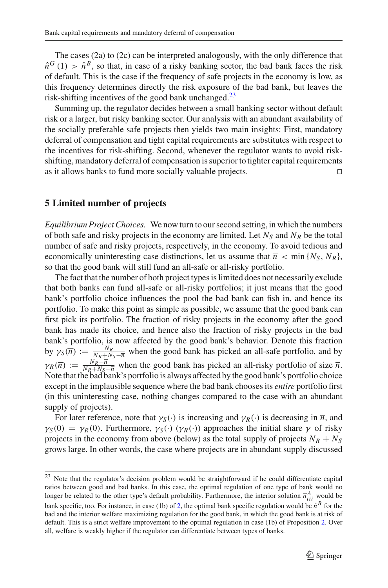The cases (2a) to (2c) can be interpreted analogously, with the only difference that  $\hat{n}^{G}(1) > \hat{n}^{B}$ , so that, in case of a risky banking sector, the bad bank faces the risk of default. This is the case if the frequency of safe projects in the economy is low, as this frequency determines directly the risk exposure of the bad bank, but leaves the risk-shifting incentives of the good bank unchanged. $23$ 

Summing up, the regulator decides between a small banking sector without default risk or a larger, but risky banking sector. Our analysis with an abundant availability of the socially preferable safe projects then yields two main insights: First, mandatory deferral of compensation and tight capital requirements are substitutes with respect to the incentives for risk-shifting. Second, whenever the regulator wants to avoid riskshifting, mandatory deferral of compensation is superior to tighter capital requirements as it allows banks to fund more socially valuable projects.

#### <span id="page-18-0"></span>**5 Limited number of projects**

*Equilibrium Project Choices.* We now turn to our second setting, in which the numbers of both safe and risky projects in the economy are limited. Let  $N_S$  and  $N_R$  be the total number of safe and risky projects, respectively, in the economy. To avoid tedious and economically uninteresting case distinctions, let us assume that  $\bar{n} < \min \{N_S, N_R\}$ , so that the good bank will still fund an all-safe or all-risky portfolio.

The fact that the number of both project types is limited does not necessarily exclude that both banks can fund all-safe or all-risky portfolios; it just means that the good bank's portfolio choice influences the pool the bad bank can fish in, and hence its portfolio. To make this point as simple as possible, we assume that the good bank can first pick its portfolio. The fraction of risky projects in the economy after the good bank has made its choice, and hence also the fraction of risky projects in the bad bank's portfolio, is now affected by the good bank's behavior. Denote this fraction by  $\gamma_S(\overline{n}) := \frac{N_R}{N_R + N_S - \overline{n}}$  when the good bank has picked an all-safe portfolio, and by  $\gamma_R(\overline{n}) := \frac{N_R - \overline{n}}{N_R + N_S - \overline{n}}$  when the good bank has picked an all-risky portfolio of size  $\overline{n}$ . Note that the bad bank's portfolio is always affected by the good bank's portfolio choice except in the implausible sequence where the bad bank chooses its *entire* portfolio first (in this uninteresting case, nothing changes compared to the case with an abundant supply of projects).

For later reference, note that  $\gamma_S(\cdot)$  is increasing and  $\gamma_R(\cdot)$  is decreasing in  $\overline{n}$ , and  $\gamma_S(0) = \gamma_R(0)$ . Furthermore,  $\gamma_S(\cdot)$  ( $\gamma_R(\cdot)$ ) approaches the initial share  $\gamma$  of risky projects in the economy from above (below) as the total supply of projects  $N_R + N_S$ grows large. In other words, the case where projects are in abundant supply discussed

<span id="page-18-1"></span><sup>&</sup>lt;sup>23</sup> Note that the regulator's decision problem would be straightforward if he could differentiate capital ratios between good and bad banks. In this case, the optimal regulation of one type of bank would no longer be related to the other type's default probability. Furthermore, the interior solution  $\overline{n}_{iii}^A$  would be bank specific, too. For instance, in case (1b) of [2,](#page-17-1) the optimal bank specific regulation would be  $\hat{n}^B$  for the bad and the interior welfare maximizing regulation for the good bank, in which the good bank is at risk of default. This is a strict welfare improvement to the optimal regulation in case (1b) of Proposition [2.](#page-17-1) Over all, welfare is weakly higher if the regulator can differentiate between types of banks.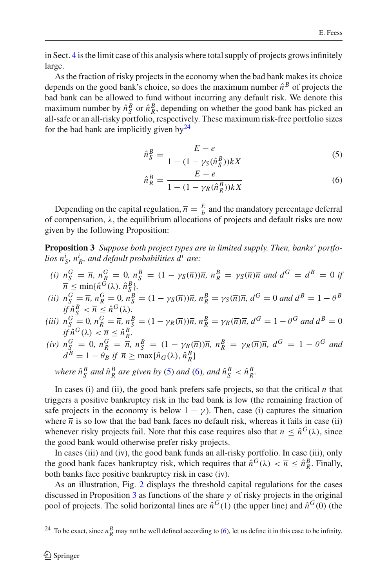in Sect. [4](#page-12-0) is the limit case of this analysis where total supply of projects grows infinitely large.

As the fraction of risky projects in the economy when the bad bank makes its choice depends on the good bank's choice, so does the maximum number  $\hat{n}^B$  of projects the bad bank can be allowed to fund without incurring any default risk. We denote this maximum number by  $\hat{n}_S^B$  or  $\hat{n}_R^B$ , depending on whether the good bank has picked an all-safe or an all-risky portfolio, respectively. These maximum risk-free portfolio sizes for the bad bank are implicitly given by  $24$ 

<span id="page-19-1"></span>
$$
\hat{n}_S^B = \frac{E - e}{1 - (1 - \gamma_S(\hat{n}_S^B))kX} \tag{5}
$$

$$
\hat{n}_R^B = \frac{E - e}{1 - (1 - \gamma_R(\hat{n}_R^B))kX} \tag{6}
$$

Depending on the capital regulation,  $\overline{n} = \frac{E}{b}$  and the mandatory percentage deferral of compensation,  $\lambda$ , the equilibrium allocations of projects and default risks are now given by the following Proposition:

<span id="page-19-2"></span>**Proposition 3** *Suppose both project types are in limited supply. Then, banks' portfo-* $\hat{a}$  *lios n<sup>i</sup>*<sub>s</sub>,  $\hat{n_R^i}$ , and default probabilities  $d^i$  are:

(i)  $n_S^G = \bar{n}$ ,  $n_R^G = 0$ ,  $n_S^B = (1 - \gamma_S(\bar{n}))\bar{n}$ ,  $n_R^B = \gamma_S(\bar{n})\bar{n}$  and  $d^G = d^B = 0$  if  $\overline{n} \le \min\{\hat{n}^G(\lambda), \hat{n}^B_{S}\}.$ 

(ii) 
$$
n_S^G = \overline{n}
$$
,  $n_R^G = 0$ ,  $n_S^B = (1 - \gamma_S(\overline{n}))\overline{n}$ ,  $n_R^B = \gamma_S(\overline{n})\overline{n}$ ,  $d^G = 0$  and  $d^B = 1 - \theta^B$   
if  $\hat{n}_S^B < \overline{n} \leq \hat{n}^G(\lambda)$ .

- (iii)  $n_S^G = 0$ ,  $n_R^G = \overline{n}$ ,  $n_S^B = (1 \gamma_R(\overline{n}))\overline{n}$ ,  $n_R^B = \gamma_R(\overline{n})\overline{n}$ ,  $d^G = 1 \theta^G$  and  $d^B = 0$  $if \hat{n}^G(\lambda) < \overline{n} \leq \hat{n}_R^B.$
- $(iv)$   $n_S^G = 0$ ,  $n_R^G = \overline{n}$ ,  $n_S^B = (1 \gamma_R(\overline{n}))\overline{n}$ ,  $n_R^B = \gamma_R(\overline{n})\overline{n}$ ,  $d^G = 1 \theta^G$  and  $d^B = 1 - \theta_B$  *if*  $\overline{n} \ge \max{\{\hat{n}_G(\lambda), \hat{n}_R^B\}}$

*where*  $\hat{n}_S^B$  *and*  $\hat{n}_R^B$  *are given by* [\(5\)](#page-19-1) *and* [\(6\)](#page-19-1)*, and*  $\hat{n}_S^B < \hat{n}_R^B$ *.* 

In cases (i) and (ii), the good bank prefers safe projects, so that the critical  $\overline{n}$  that triggers a positive bankruptcy risk in the bad bank is low (the remaining fraction of safe projects in the economy is below  $1 - \gamma$ ). Then, case (i) captures the situation where  $\bar{n}$  is so low that the bad bank faces no default risk, whereas it fails in case (ii) whenever risky projects fail. Note that this case requires also that  $\bar{n} < \hat{n}^{G}(\lambda)$ , since the good bank would otherwise prefer risky projects.

In cases (iii) and (iv), the good bank funds an all-risky portfolio. In case (iii), only the good bank faces bankruptcy risk, which requires that  $\hat{n}^G(\lambda) < \overline{n} \leq \hat{n}_R^B$ . Finally, both banks face positive bankruptcy risk in case (iv).

As an illustration, Fig. [2](#page-20-0) displays the threshold capital regulations for the cases discussed in Proposition [3](#page-19-2) as functions of the share  $\gamma$  of risky projects in the original pool of projects. The solid horizontal lines are  $\hat{n}^G(1)$  (the upper line) and  $\hat{n}^G(0)$  (the

<span id="page-19-0"></span><sup>&</sup>lt;sup>24</sup> To be exact, since  $n_R^B$  may not be well defined according to [\(6\)](#page-19-1), let us define it in this case to be infinity.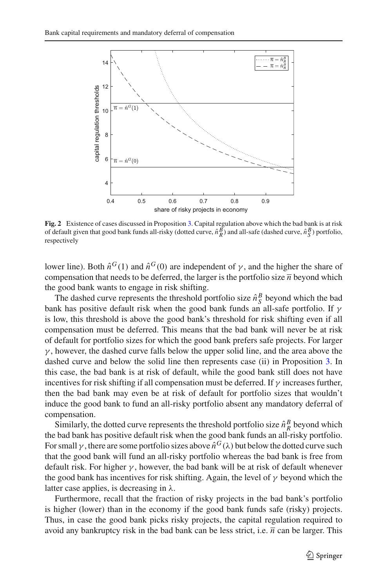

<span id="page-20-0"></span>**Fig. 2** Existence of cases discussed in Proposition [3.](#page-19-2) Capital regulation above which the bad bank is at risk<br>of default given that good bank funds all-risky (dotted curve,  $\hat{n}^B_R$ ) and all-safe (dashed curve,  $\hat{n}^B_S$ respectively

lower line). Both  $\hat{n}^G(1)$  and  $\hat{n}^G(0)$  are independent of  $\gamma$ , and the higher the share of compensation that needs to be deferred, the larger is the portfolio size  $\overline{n}$  beyond which the good bank wants to engage in risk shifting.

The dashed curve represents the threshold portfolio size  $\hat{n}_S^B$  beyond which the bad bank has positive default risk when the good bank funds an all-safe portfolio. If  $\gamma$ is low, this threshold is above the good bank's threshold for risk shifting even if all compensation must be deferred. This means that the bad bank will never be at risk of default for portfolio sizes for which the good bank prefers safe projects. For larger  $\gamma$ , however, the dashed curve falls below the upper solid line, and the area above the dashed curve and below the solid line then represents case (ii) in Proposition [3.](#page-19-2) In this case, the bad bank is at risk of default, while the good bank still does not have incentives for risk shifting if all compensation must be deferred. If  $\gamma$  increases further, then the bad bank may even be at risk of default for portfolio sizes that wouldn't induce the good bank to fund an all-risky portfolio absent any mandatory deferral of compensation.

Similarly, the dotted curve represents the threshold portfolio size  $\hat{n}_R^B$  beyond which the bad bank has positive default risk when the good bank funds an all-risky portfolio. For small  $\gamma$ , there are some portfolio sizes above  $\hat{n}^G(\lambda)$  but below the dotted curve such that the good bank will fund an all-risky portfolio whereas the bad bank is free from default risk. For higher  $\gamma$ , however, the bad bank will be at risk of default whenever the good bank has incentives for risk shifting. Again, the level of  $\gamma$  beyond which the latter case applies, is decreasing in  $\lambda$ .

Furthermore, recall that the fraction of risky projects in the bad bank's portfolio is higher (lower) than in the economy if the good bank funds safe (risky) projects. Thus, in case the good bank picks risky projects, the capital regulation required to avoid any bankruptcy risk in the bad bank can be less strict, i.e.  $\overline{n}$  can be larger. This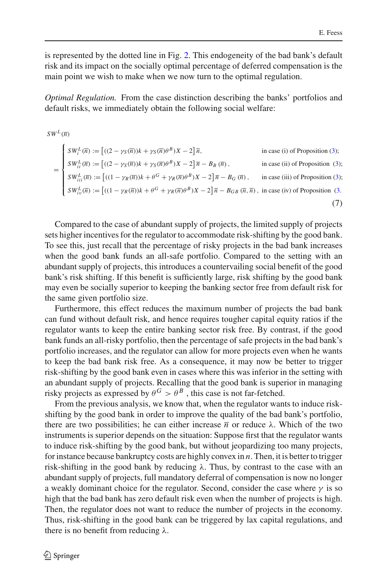is represented by the dotted line in Fig. [2.](#page-20-0) This endogeneity of the bad bank's default risk and its impact on the socially optimal percentage of deferred compensation is the main point we wish to make when we now turn to the optimal regulation.

*Optimal Regulation.* From the case distinction describing the banks' portfolios and default risks, we immediately obtain the following social welfare:

$$
SW^{L}(\overline{n})
$$
\n
$$
= \begin{cases}\nSW_{i}^{L}(\overline{n}) := \left[ ((2 - \gamma_{S}(\overline{n}))k + \gamma_{S}(\overline{n})\theta^{B})X - 2 \right] \overline{n}, & \text{in case (i) of Proposition (3);} \\
SW_{ii}^{L}(\overline{n}) := \left[ ((2 - \gamma_{S}(\overline{n}))k + \gamma_{S}(\overline{n})\theta^{B})X - 2 \right] \overline{n} - B_{B}(\overline{n}), & \text{in case (ii) of Proposition (3);} \\
SW_{iii}^{L}(\overline{n}) := \left[ ((1 - \gamma_{R}(\overline{n}))k + \theta^{G} + \gamma_{R}(\overline{n})\theta^{B})X - 2 \right] \overline{n} - B_{G}(\overline{n}, \overline{n}), & \text{in case (ii) of Proposition (3);} \\
SW_{iv}^{L}(\overline{n}) := \left[ ((1 - \gamma_{R}(\overline{n}))k + \theta^{G} + \gamma_{R}(\overline{n})\theta^{B})X - 2 \right] \overline{n} - B_{GB}(\overline{n}, \overline{n}), & \text{in case (iv) of Proposition (3).} \tag{7}\n\end{cases}
$$

Compared to the case of abundant supply of projects, the limited supply of projects sets higher incentives for the regulator to accommodate risk-shifting by the good bank. To see this, just recall that the percentage of risky projects in the bad bank increases when the good bank funds an all-safe portfolio. Compared to the setting with an abundant supply of projects, this introduces a countervailing social benefit of the good bank's risk shifting. If this benefit is sufficiently large, risk shifting by the good bank may even be socially superior to keeping the banking sector free from default risk for the same given portfolio size.

Furthermore, this effect reduces the maximum number of projects the bad bank can fund without default risk, and hence requires tougher capital equity ratios if the regulator wants to keep the entire banking sector risk free. By contrast, if the good bank funds an all-risky portfolio, then the percentage of safe projects in the bad bank's portfolio increases, and the regulator can allow for more projects even when he wants to keep the bad bank risk free. As a consequence, it may now be better to trigger risk-shifting by the good bank even in cases where this was inferior in the setting with an abundant supply of projects. Recalling that the good bank is superior in managing risky projects as expressed by  $\theta^G > \theta^B$ , this case is not far-fetched.

From the previous analysis, we know that, when the regulator wants to induce riskshifting by the good bank in order to improve the quality of the bad bank's portfolio, there are two possibilities; he can either increase  $\bar{n}$  or reduce  $\lambda$ . Which of the two instruments is superior depends on the situation: Suppose first that the regulator wants to induce risk-shifting by the good bank, but without jeopardizing too many projects, for instance because bankruptcy costs are highly convex in *n*. Then, it is better to trigger risk-shifting in the good bank by reducing  $\lambda$ . Thus, by contrast to the case with an abundant supply of projects, full mandatory deferral of compensation is now no longer a weakly dominant choice for the regulator. Second, consider the case where  $\gamma$  is so high that the bad bank has zero default risk even when the number of projects is high. Then, the regulator does not want to reduce the number of projects in the economy. Thus, risk-shifting in the good bank can be triggered by lax capital regulations, and there is no benefit from reducing  $\lambda$ .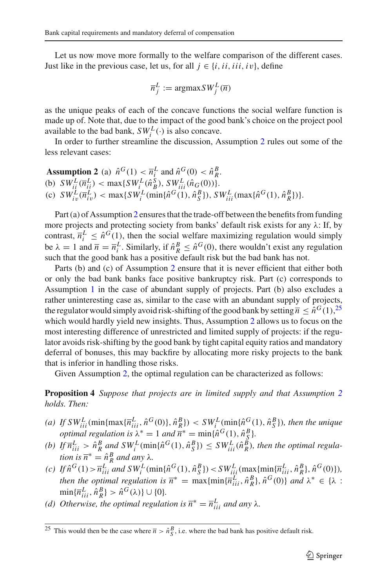Let us now move more formally to the welfare comparison of the different cases. Just like in the previous case, let us, for all  $j \in \{i, ii, iii, iv\}$ , define

$$
\overline{n}_j^L := \operatorname{argmax} SW_j^L(\overline{n})
$$

as the unique peaks of each of the concave functions the social welfare function is made up of. Note that, due to the impact of the good bank's choice on the project pool available to the bad bank,  $SW_i^L(\cdot)$  is also concave.

<span id="page-22-0"></span>In order to further streamline the discussion, Assumption [2](#page-22-0) rules out some of the less relevant cases:

Assumption 2 (a)  $\hat{n}^G(1) < \overline{n}_i^L$  and  $\hat{n}^G(0) < \hat{n}_R^B$ . (b)  $SW_{ii}^L(\overline{n}_{ii}^L) < \max\{SW_{i}^L(\hat{n}_{B}^S), SW_{iii}^L(\hat{n}_{G}(0))\}.$ (c)  $SW_{iv}^L(\overline{n}_{iv}^L) < \max\{SW_i^L(\min\{\hat{n}^G(1), \hat{n}_S^B\}), SW_{iii}^L(\max\{\hat{n}^G(1), \hat{n}_R^B\})\}.$ 

Part (a) of Assumption [2](#page-22-0) ensures that the trade-off between the benefits from funding more projects and protecting society from banks' default risk exists for any  $\lambda$ : If, by contrast,  $\overline{n}_i^L \leq \hat{n}^G(1)$ , then the social welfare maximizing regulation would simply be  $\lambda = 1$  and  $\overline{n} = \overline{n}_i^L$ . Similarly, if  $\hat{n}_R^B \leq \hat{n}^G(0)$ , there wouldn't exist any regulation such that the good bank has a positive default risk but the bad bank has not.

Parts (b) and (c) of Assumption [2](#page-22-0) ensure that it is never efficient that either both or only the bad bank banks face positive bankruptcy risk. Part (c) corresponds to Assumption [1](#page-17-0) in the case of abundant supply of projects. Part (b) also excludes a rather uninteresting case as, similar to the case with an abundant supply of projects, the regulator would simply avoid risk-shifting of the good bank by setting  $\bar{n} \leq \hat{n}^G(1)$ , <sup>[25](#page-22-1)</sup> which would hardly yield new insights. Thus, Assumption [2](#page-22-0) allows us to focus on the most interesting difference of unrestricted and limited supply of projects: if the regulator avoids risk-shifting by the good bank by tight capital equity ratios and mandatory deferral of bonuses, this may backfire by allocating more risky projects to the bank that is inferior in handling those risks.

<span id="page-22-2"></span>Given Assumption [2,](#page-22-0) the optimal regulation can be characterized as follows:

**Proposition 4** *Suppose that projects are in limited supply and that Assumption [2](#page-22-0) holds. Then:*

- (a) If  $SW_{iii}^L(\min\{\max\{\overline{n}_{iii}^L, \hat{n}^G(0)\}, \hat{n}_R^B\}) < SW_i^L(\min\{\hat{n}^G(1), \hat{n}_S^B\})$ , then the unique *optimal regulation is*  $\lambda^* = 1$  *and*  $\overline{n}^* = \min\{\hat{n}^G(1), \hat{n}^B\}.$
- (b) If  $\overline{n}_{iii}^L > \hat{n}_R^B$  and  $SW_i^L(\min\{\hat{n}^G(1), \hat{n}_S^B\}) \leq SW_{iii}^L(\hat{n}_R^B)$ , then the optimal regula*tion is*  $\overline{n}^* = \hat{n}_R^B$  *and any*  $\lambda$ *.*
- (c) If  $\hat{n}^{G}(1) > \overline{n}_{iii}^{L}$  and  $SW_{i}^{L}(\min{\{\hat{n}^{G}(1), \hat{n}_{S}^{B}\}}) < SW_{ii}^{L}(\max{\{\min{\{\overline{n}_{iii}^{L}, \hat{n}_{R}^{B}\}}, \hat{n}^{G}(0)\}})$ , *then the optimal regulation is*  $\overline{n}^* = \max{\min{\{\overline{n}_{iii}^L, \hat{n}_R^B\}, \hat{n}^G(0)\}}$  *and*  $\lambda^* \in {\lambda :$  $\min{\{\overline{n}_{iii}^L, \hat{n}_R^B\}} > \hat{n}^G(\lambda) \} \cup \{0\}.$
- *(d)* Otherwise, the optimal regulation is  $\overline{n}^* = \overline{n}^L_{iii}$  and any  $\lambda$ .

<span id="page-22-1"></span><sup>&</sup>lt;sup>25</sup> This would then be the case where  $\bar{n} > \hat{n}^B_S$ , i.e. where the bad bank has positive default risk.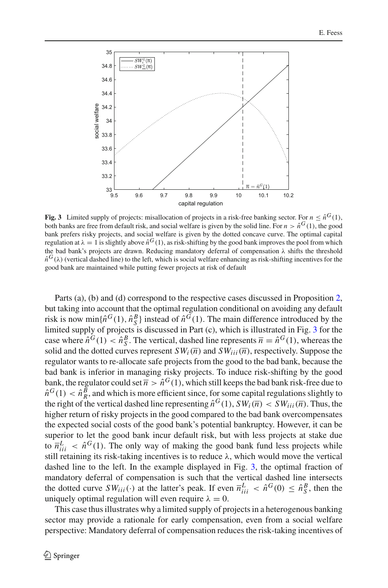

<span id="page-23-0"></span>**Fig. 3** Limited supply of projects: misallocation of projects in a risk-free banking sector. For  $n \leq \hat{n}^G(1)$ , both banks are free from default risk, and social welfare is given by the solid line. For  $n > \hat{n}^G(1)$ , the good bank prefers risky projects, and social welfare is given by the dotted concave curve. The optimal capital regulation at  $\lambda = 1$  is slightly above  $\hat{n}^G(1)$ , as risk-shifting by the good bank improves the pool from which the bad bank's projects are drawn. Reducing mandatory deferral of compensation λ shifts the threshold  $\hat{n}^{G}(\lambda)$  (vertical dashed line) to the left, which is social welfare enhancing as risk-shifting incentives for the good bank are maintained while putting fewer projects at risk of default

Parts (a), (b) and (d) correspond to the respective cases discussed in Proposition [2,](#page-17-1) but taking into account that the optimal regulation conditional on avoiding any default risk is now min $\{\hat{n}^G(1), \hat{n}^B_S\}$  instead of  $\hat{n}^G(1)$ . The main difference introduced by the limited supply of projects is discussed in Part (c), which is illustrated in Fig. [3](#page-23-0) for the case where  $\hat{n}^G(1) < \hat{n}_S^B$ . The vertical, dashed line represents  $\overline{n} = \hat{n}^G(1)$ , whereas the solid and the dotted curves represent  $SW_i(\overline{n})$  and  $SW_{iii}(\overline{n})$ , respectively. Suppose the regulator wants to re-allocate safe projects from the good to the bad bank, because the bad bank is inferior in managing risky projects. To induce risk-shifting by the good bank, the regulator could set  $\overline{n} > \hat{n}^G(1)$ , which still keeps the bad bank risk-free due to  $\hat{n}^G(1) < \hat{n}_R^B$ , and which is more efficient since, for some capital regulations slightly to the right of the vertical dashed line representing  $\hat{n}^G(1)$ ,  $SW_i(\overline{n}) < SW_{iii}(\overline{n})$ . Thus, the higher return of risky projects in the good compared to the bad bank overcompensates the expected social costs of the good bank's potential bankruptcy. However, it can be superior to let the good bank incur default risk, but with less projects at stake due to  $\bar{n}^L_{ii}$  <  $\hat{n}^G(1)$ . The only way of making the good bank fund less projects while still retaining its risk-taking incentives is to reduce  $\lambda$ , which would move the vertical dashed line to the left. In the example displayed in Fig. [3,](#page-23-0) the optimal fraction of mandatory deferral of compensation is such that the vertical dashed line intersects the dotted curve  $SW_{iii}(\cdot)$  at the latter's peak. If even  $\overline{n}_{iii}^L < \hat{n}^G(0) \leq \hat{n}_S^B$ , then the uniquely optimal regulation will even require  $\lambda = 0$ .

This case thus illustrates why a limited supply of projects in a heterogenous banking sector may provide a rationale for early compensation, even from a social welfare perspective: Mandatory deferral of compensation reduces the risk-taking incentives of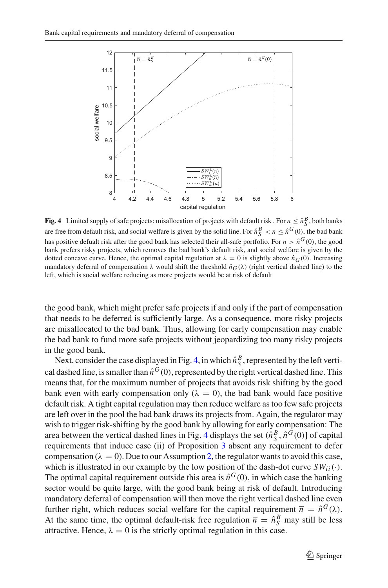

<span id="page-24-0"></span>**Fig. 4** Limited supply of safe projects: misallocation of projects with default risk. For  $n \leq \hat{n}_S^B$ , both banks are free from default risk, and social welfare is given by the solid line. For  $\hat{n}^B_S < n \leq \hat{n}^G(0)$ , the bad bank has positive defualt risk after the good bank has selected their all-safe portfolio. For  $n > \hat{n}^G(0)$ , the good bank prefers risky projects, which removes the bad bank's default risk, and social welfare is given by the dotted concave curve. Hence, the optimal capital regulation at  $\lambda = 0$  is slightly above  $\hat{n}_G(0)$ . Increasing mandatory deferral of compensation  $\lambda$  would shift the threshold  $\hat{n}_G(\lambda)$  (right vertical dashed line) to the left, which is social welfare reducing as more projects would be at risk of default

the good bank, which might prefer safe projects if and only if the part of compensation that needs to be deferred is sufficiently large. As a consequence, more risky projects are misallocated to the bad bank. Thus, allowing for early compensation may enable the bad bank to fund more safe projects without jeopardizing too many risky projects in the good bank.

Next, consider the case displayed in Fig. [4,](#page-24-0) in which  $\hat{n}_S^B$ , represented by the left vertical dashed line, is smaller than  $\hat{n}^G(0)$ , represented by the right vertical dashed line. This means that, for the maximum number of projects that avoids risk shifting by the good bank even with early compensation only ( $\lambda = 0$ ), the bad bank would face positive default risk. A tight capital regulation may then reduce welfare as too few safe projects are left over in the pool the bad bank draws its projects from. Again, the regulator may wish to trigger risk-shifting by the good bank by allowing for early compensation: The area between the vertical dashed lines in Fig. [4](#page-24-0) displays the set  $(\hat{n}_S^B, \hat{n}^G(0))$  of capital requirements that induce case (ii) of Proposition [3](#page-19-2) absent any requirement to defer compensation ( $\lambda = 0$ ). Due to our Assumption [2,](#page-22-0) the regulator wants to avoid this case, which is illustrated in our example by the low position of the dash-dot curve  $SW_{ii}(\cdot)$ . The optimal capital requirement outside this area is  $\hat{n}^G(0)$ , in which case the banking sector would be quite large, with the good bank being at risk of default. Introducing mandatory deferral of compensation will then move the right vertical dashed line even further right, which reduces social welfare for the capital requirement  $\overline{n} = \hat{n}^G(\lambda)$ . At the same time, the optimal default-risk free regulation  $\bar{n} = \hat{n}_S^B$  may still be less attractive. Hence,  $\lambda = 0$  is the strictly optimal regulation in this case.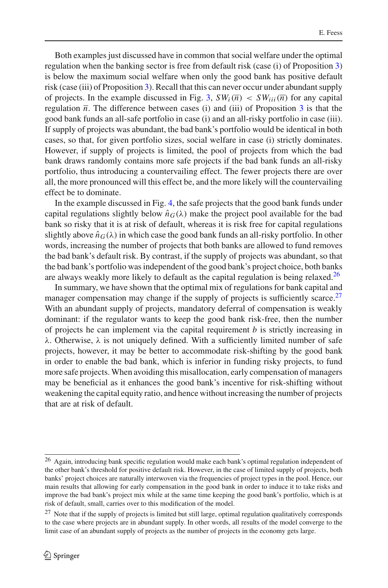Both examples just discussed have in common that social welfare under the optimal regulation when the banking sector is free from default risk (case (i) of Proposition [3\)](#page-19-2) is below the maximum social welfare when only the good bank has positive default risk (case (iii) of Proposition [3\)](#page-19-2). Recall that this can never occur under abundant supply of projects. In the example discussed in Fig. [3,](#page-23-0)  $SW_i(\overline{n}) < SW_{ii}(\overline{n})$  for any capital regulation  $\overline{n}$ . The difference between cases (i) and (iii) of Proposition [3](#page-19-2) is that the good bank funds an all-safe portfolio in case (i) and an all-risky portfolio in case (iii). If supply of projects was abundant, the bad bank's portfolio would be identical in both cases, so that, for given portfolio sizes, social welfare in case (i) strictly dominates. However, if supply of projects is limited, the pool of projects from which the bad bank draws randomly contains more safe projects if the bad bank funds an all-risky portfolio, thus introducing a countervailing effect. The fewer projects there are over all, the more pronounced will this effect be, and the more likely will the countervailing effect be to dominate.

In the example discussed in Fig. [4,](#page-24-0) the safe projects that the good bank funds under capital regulations slightly below  $\hat{n}_{G}(\lambda)$  make the project pool available for the bad bank so risky that it is at risk of default, whereas it is risk free for capital regulations slightly above  $\hat{n}_G(\lambda)$  in which case the good bank funds an all-risky portfolio. In other words, increasing the number of projects that both banks are allowed to fund removes the bad bank's default risk. By contrast, if the supply of projects was abundant, so that the bad bank's portfolio was independent of the good bank's project choice, both banks are always weakly more likely to default as the capital regulation is being relaxed.<sup>[26](#page-25-0)</sup>

In summary, we have shown that the optimal mix of regulations for bank capital and manager compensation may change if the supply of projects is sufficiently scarce.<sup>27</sup> With an abundant supply of projects, mandatory deferral of compensation is weakly dominant: if the regulator wants to keep the good bank risk-free, then the number of projects he can implement via the capital requirement *b* is strictly increasing in λ. Otherwise, λ is not uniquely defined. With a sufficiently limited number of safe projects, however, it may be better to accommodate risk-shifting by the good bank in order to enable the bad bank, which is inferior in funding risky projects, to fund more safe projects. When avoiding this misallocation, early compensation of managers may be beneficial as it enhances the good bank's incentive for risk-shifting without weakening the capital equity ratio, and hence without increasing the number of projects that are at risk of default.

<span id="page-25-0"></span><sup>&</sup>lt;sup>26</sup> Again, introducing bank specific regulation would make each bank's optimal regulation independent of the other bank's threshold for positive default risk. However, in the case of limited supply of projects, both banks' project choices are naturally interwoven via the frequencies of project types in the pool. Hence, our main results that allowing for early compensation in the good bank in order to induce it to take risks and improve the bad bank's project mix while at the same time keeping the good bank's portfolio, which is at risk of default, small, carries over to this modification of the model.

<span id="page-25-1"></span><sup>&</sup>lt;sup>27</sup> Note that if the supply of projects is limited but still large, optimal regulation qualitatively corresponds to the case where projects are in abundant supply. In other words, all results of the model converge to the limit case of an abundant supply of projects as the number of projects in the economy gets large.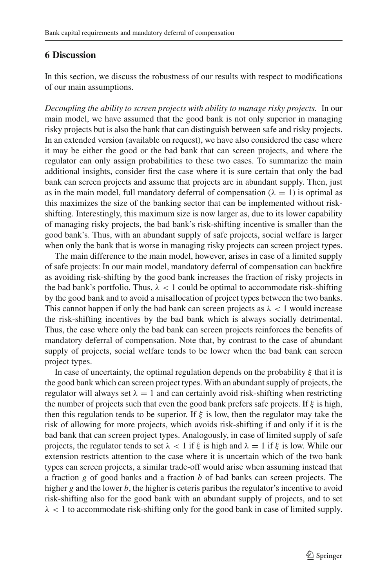### <span id="page-26-0"></span>**6 Discussion**

In this section, we discuss the robustness of our results with respect to modifications of our main assumptions.

*Decoupling the ability to screen projects with ability to manage risky projects.* In our main model, we have assumed that the good bank is not only superior in managing risky projects but is also the bank that can distinguish between safe and risky projects. In an extended version (available on request), we have also considered the case where it may be either the good or the bad bank that can screen projects, and where the regulator can only assign probabilities to these two cases. To summarize the main additional insights, consider first the case where it is sure certain that only the bad bank can screen projects and assume that projects are in abundant supply. Then, just as in the main model, full mandatory deferral of compensation ( $\lambda = 1$ ) is optimal as this maximizes the size of the banking sector that can be implemented without riskshifting. Interestingly, this maximum size is now larger as, due to its lower capability of managing risky projects, the bad bank's risk-shifting incentive is smaller than the good bank's. Thus, with an abundant supply of safe projects, social welfare is larger when only the bank that is worse in managing risky projects can screen project types.

The main difference to the main model, however, arises in case of a limited supply of safe projects: In our main model, mandatory deferral of compensation can backfire as avoiding risk-shifting by the good bank increases the fraction of risky projects in the bad bank's portfolio. Thus,  $\lambda$  < 1 could be optimal to accommodate risk-shifting by the good bank and to avoid a misallocation of project types between the two banks. This cannot happen if only the bad bank can screen projects as  $\lambda < 1$  would increase the risk-shifting incentives by the bad bank which is always socially detrimental. Thus, the case where only the bad bank can screen projects reinforces the benefits of mandatory deferral of compensation. Note that, by contrast to the case of abundant supply of projects, social welfare tends to be lower when the bad bank can screen project types.

In case of uncertainty, the optimal regulation depends on the probability  $\xi$  that it is the good bank which can screen project types. With an abundant supply of projects, the regulator will always set  $\lambda = 1$  and can certainly avoid risk-shifting when restricting the number of projects such that even the good bank prefers safe projects. If  $\xi$  is high, then this regulation tends to be superior. If  $\xi$  is low, then the regulator may take the risk of allowing for more projects, which avoids risk-shifting if and only if it is the bad bank that can screen project types. Analogously, in case of limited supply of safe projects, the regulator tends to set  $\lambda < 1$  if  $\xi$  is high and  $\lambda = 1$  if  $\xi$  is low. While our extension restricts attention to the case where it is uncertain which of the two bank types can screen projects, a similar trade-off would arise when assuming instead that a fraction *g* of good banks and a fraction *b* of bad banks can screen projects. The higher *g* and the lower *b*, the higher is ceteris paribus the regulator's incentive to avoid risk-shifting also for the good bank with an abundant supply of projects, and to set  $\lambda$  < 1 to accommodate risk-shifting only for the good bank in case of limited supply.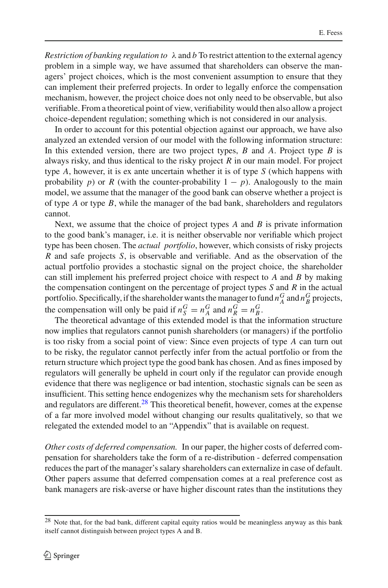*Restriction of banking regulation to*  $\lambda$  and *b* To restrict attention to the external agency problem in a simple way, we have assumed that shareholders can observe the managers' project choices, which is the most convenient assumption to ensure that they can implement their preferred projects. In order to legally enforce the compensation mechanism, however, the project choice does not only need to be observable, but also verifiable. From a theoretical point of view, verifiability would then also allow a project choice-dependent regulation; something which is not considered in our analysis.

In order to account for this potential objection against our approach, we have also analyzed an extended version of our model with the following information structure: In this extended version, there are two project types, *B* and *A*. Project type *B* is always risky, and thus identical to the risky project *R* in our main model. For project type *A*, however, it is ex ante uncertain whether it is of type *S* (which happens with probability *p*) or *R* (with the counter-probability  $1 - p$ ). Analogously to the main model, we assume that the manager of the good bank can observe whether a project is of type *A* or type *B*, while the manager of the bad bank, shareholders and regulators cannot.

Next, we assume that the choice of project types *A* and *B* is private information to the good bank's manager, i.e. it is neither observable nor verifiable which project type has been chosen. The *actual portfolio*, however, which consists of risky projects *R* and safe projects *S*, is observable and verifiable. And as the observation of the actual portfolio provides a stochastic signal on the project choice, the shareholder can still implement his preferred project choice with respect to *A* and *B* by making the compensation contingent on the percentage of project types *S* and *R* in the actual portfolio. Specifically, if the shareholder wants the manager to fund  $n_A^G$  and  $n_B^G$  projects, the compensation will only be paid if  $n_S^G = n_A^G$  and  $n_R^G = n_B^G$ .

The theoretical advantage of this extended model is that the information structure now implies that regulators cannot punish shareholders (or managers) if the portfolio is too risky from a social point of view: Since even projects of type *A* can turn out to be risky, the regulator cannot perfectly infer from the actual portfolio or from the return structure which project type the good bank has chosen. And as fines imposed by regulators will generally be upheld in court only if the regulator can provide enough evidence that there was negligence or bad intention, stochastic signals can be seen as insufficient. This setting hence endogenizes why the mechanism sets for shareholders and regulators are different. $28$  This theoretical benefit, however, comes at the expense of a far more involved model without changing our results qualitatively, so that we relegated the extended model to an "Appendix" that is available on request.

*Other costs of deferred compensation.* In our paper, the higher costs of deferred compensation for shareholders take the form of a re-distribution - deferred compensation reduces the part of the manager's salary shareholders can externalize in case of default. Other papers assume that deferred compensation comes at a real preference cost as bank managers are risk-averse or have higher discount rates than the institutions they

<span id="page-27-0"></span> $^{28}$  Note that, for the bad bank, different capital equity ratios would be meaningless anyway as this bank itself cannot distinguish between project types A and B.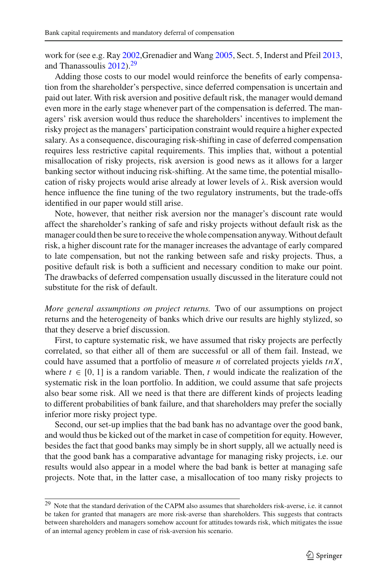work for (see e.g. Ra[y](#page-36-20) [2002,](#page-36-20)Grenadier and Wan[g](#page-36-21) [2005,](#page-36-21) Sect. 5, Inderst and Pfei[l](#page-36-8) [2013,](#page-36-8) and Thana[s](#page-36-15)soulis [2012](#page-36-15)).<sup>[29](#page-28-0)</sup>

Adding those costs to our model would reinforce the benefits of early compensation from the shareholder's perspective, since deferred compensation is uncertain and paid out later. With risk aversion and positive default risk, the manager would demand even more in the early stage whenever part of the compensation is deferred. The managers' risk aversion would thus reduce the shareholders' incentives to implement the risky project as the managers' participation constraint would require a higher expected salary. As a consequence, discouraging risk-shifting in case of deferred compensation requires less restrictive capital requirements. This implies that, without a potential misallocation of risky projects, risk aversion is good news as it allows for a larger banking sector without inducing risk-shifting. At the same time, the potential misallocation of risky projects would arise already at lower levels of  $\lambda$ . Risk aversion would hence influence the fine tuning of the two regulatory instruments, but the trade-offs identified in our paper would still arise.

Note, however, that neither risk aversion nor the manager's discount rate would affect the shareholder's ranking of safe and risky projects without default risk as the manager could then be sure to receive the whole compensation anyway.Without default risk, a higher discount rate for the manager increases the advantage of early compared to late compensation, but not the ranking between safe and risky projects. Thus, a positive default risk is both a sufficient and necessary condition to make our point. The drawbacks of deferred compensation usually discussed in the literature could not substitute for the risk of default.

*More general assumptions on project returns.* Two of our assumptions on project returns and the heterogeneity of banks which drive our results are highly stylized, so that they deserve a brief discussion.

First, to capture systematic risk, we have assumed that risky projects are perfectly correlated, so that either all of them are successful or all of them fail. Instead, we could have assumed that a portfolio of measure *n* of correlated projects yields *tnX*, where  $t \in [0, 1]$  is a random variable. Then, *t* would indicate the realization of the systematic risk in the loan portfolio. In addition, we could assume that safe projects also bear some risk. All we need is that there are different kinds of projects leading to different probabilities of bank failure, and that shareholders may prefer the socially inferior more risky project type.

Second, our set-up implies that the bad bank has no advantage over the good bank, and would thus be kicked out of the market in case of competition for equity. However, besides the fact that good banks may simply be in short supply, all we actually need is that the good bank has a comparative advantage for managing risky projects, i.e. our results would also appear in a model where the bad bank is better at managing safe projects. Note that, in the latter case, a misallocation of too many risky projects to

<span id="page-28-0"></span><sup>&</sup>lt;sup>29</sup> Note that the standard derivation of the CAPM also assumes that shareholders risk-averse, i.e. it cannot be taken for granted that managers are more risk-averse than shareholders. This suggests that contracts between shareholders and managers somehow account for attitudes towards risk, which mitigates the issue of an internal agency problem in case of risk-aversion his scenario.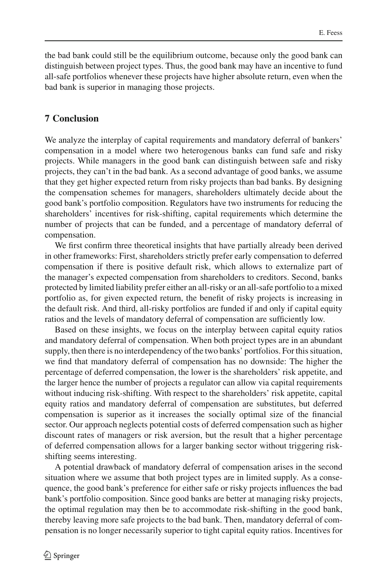the bad bank could still be the equilibrium outcome, because only the good bank can distinguish between project types. Thus, the good bank may have an incentive to fund all-safe portfolios whenever these projects have higher absolute return, even when the bad bank is superior in managing those projects.

## <span id="page-29-0"></span>**7 Conclusion**

We analyze the interplay of capital requirements and mandatory deferral of bankers' compensation in a model where two heterogenous banks can fund safe and risky projects. While managers in the good bank can distinguish between safe and risky projects, they can't in the bad bank. As a second advantage of good banks, we assume that they get higher expected return from risky projects than bad banks. By designing the compensation schemes for managers, shareholders ultimately decide about the good bank's portfolio composition. Regulators have two instruments for reducing the shareholders' incentives for risk-shifting, capital requirements which determine the number of projects that can be funded, and a percentage of mandatory deferral of compensation.

We first confirm three theoretical insights that have partially already been derived in other frameworks: First, shareholders strictly prefer early compensation to deferred compensation if there is positive default risk, which allows to externalize part of the manager's expected compensation from shareholders to creditors. Second, banks protected by limited liability prefer either an all-risky or an all-safe portfolio to a mixed portfolio as, for given expected return, the benefit of risky projects is increasing in the default risk. And third, all-risky portfolios are funded if and only if capital equity ratios and the levels of mandatory deferral of compensation are sufficiently low.

Based on these insights, we focus on the interplay between capital equity ratios and mandatory deferral of compensation. When both project types are in an abundant supply, then there is no interdependency of the two banks' portfolios. For this situation, we find that mandatory deferral of compensation has no downside: The higher the percentage of deferred compensation, the lower is the shareholders' risk appetite, and the larger hence the number of projects a regulator can allow via capital requirements without inducing risk-shifting. With respect to the shareholders' risk appetite, capital equity ratios and mandatory deferral of compensation are substitutes, but deferred compensation is superior as it increases the socially optimal size of the financial sector. Our approach neglects potential costs of deferred compensation such as higher discount rates of managers or risk aversion, but the result that a higher percentage of deferred compensation allows for a larger banking sector without triggering riskshifting seems interesting.

A potential drawback of mandatory deferral of compensation arises in the second situation where we assume that both project types are in limited supply. As a consequence, the good bank's preference for either safe or risky projects influences the bad bank's portfolio composition. Since good banks are better at managing risky projects, the optimal regulation may then be to accommodate risk-shifting in the good bank, thereby leaving more safe projects to the bad bank. Then, mandatory deferral of compensation is no longer necessarily superior to tight capital equity ratios. Incentives for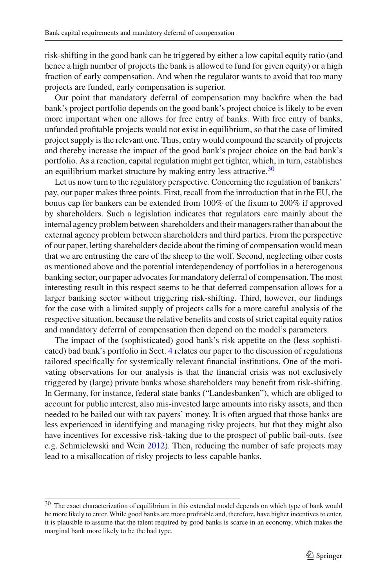risk-shifting in the good bank can be triggered by either a low capital equity ratio (and hence a high number of projects the bank is allowed to fund for given equity) or a high fraction of early compensation. And when the regulator wants to avoid that too many projects are funded, early compensation is superior.

Our point that mandatory deferral of compensation may backfire when the bad bank's project portfolio depends on the good bank's project choice is likely to be even more important when one allows for free entry of banks. With free entry of banks, unfunded profitable projects would not exist in equilibrium, so that the case of limited project supply is the relevant one. Thus, entry would compound the scarcity of projects and thereby increase the impact of the good bank's project choice on the bad bank's portfolio. As a reaction, capital regulation might get tighter, which, in turn, establishes an equilibrium market structure by making entry less attractive. $30$ 

Let us now turn to the regulatory perspective. Concerning the regulation of bankers' pay, our paper makes three points. First, recall from the introduction that in the EU, the bonus cap for bankers can be extended from 100% of the fixum to 200% if approved by shareholders. Such a legislation indicates that regulators care mainly about the internal agency problem between shareholders and their managers rather than about the external agency problem between shareholders and third parties. From the perspective of our paper, letting shareholders decide about the timing of compensation would mean that we are entrusting the care of the sheep to the wolf. Second, neglecting other costs as mentioned above and the potential interdependency of portfolios in a heterogenous banking sector, our paper advocates for mandatory deferral of compensation. The most interesting result in this respect seems to be that deferred compensation allows for a larger banking sector without triggering risk-shifting. Third, however, our findings for the case with a limited supply of projects calls for a more careful analysis of the respective situation, because the relative benefits and costs of strict capital equity ratios and mandatory deferral of compensation then depend on the model's parameters.

The impact of the (sophisticated) good bank's risk appetite on the (less sophisticated) bad bank's portfolio in Sect. [4](#page-12-0) relates our paper to the discussion of regulations tailored specifically for systemically relevant financial institutions. One of the motivating observations for our analysis is that the financial crisis was not exclusively triggered by (large) private banks whose shareholders may benefit from risk-shifting. In Germany, for instance, federal state banks ("Landesbanken"), which are obliged to account for public interest, also mis-invested large amounts into risky assets, and then needed to be bailed out with tax payers' money. It is often argued that those banks are less experienced in identifying and managing risky projects, but that they might also have incentives for excessive risk-taking due to the prospect of public bail-outs. (see e.g. Schmielewski and Wei[n](#page-36-22) [2012\)](#page-36-22). Then, reducing the number of safe projects may lead to a misallocation of risky projects to less capable banks.

<span id="page-30-0"></span><sup>&</sup>lt;sup>30</sup> The exact characterization of equilibrium in this extended model depends on which type of bank would be more likely to enter. While good banks are more profitable and, therefore, have higher incentives to enter, it is plausible to assume that the talent required by good banks is scarce in an economy, which makes the marginal bank more likely to be the bad type.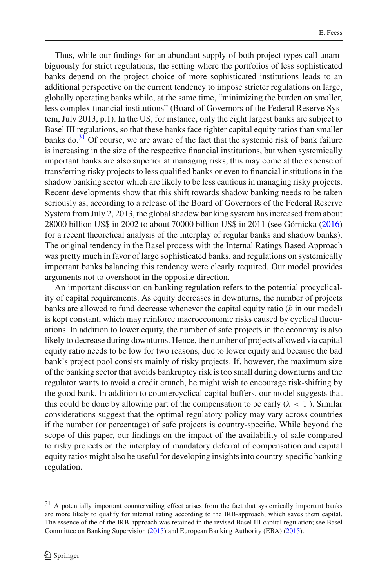Thus, while our findings for an abundant supply of both project types call unambiguously for strict regulations, the setting where the portfolios of less sophisticated banks depend on the project choice of more sophisticated institutions leads to an additional perspective on the current tendency to impose stricter regulations on large, globally operating banks while, at the same time, "minimizing the burden on smaller, less complex financial institutions" (Board of Governors of the Federal Reserve System, July 2013, p.1). In the US, for instance, only the eight largest banks are subject to Basel III regulations, so that these banks face tighter capital equity ratios than smaller banks do. $31$  Of course, we are aware of the fact that the systemic risk of bank failure is increasing in the size of the respective financial institutions, but when systemically important banks are also superior at managing risks, this may come at the expense of transferring risky projects to less qualified banks or even to financial institutions in the shadow banking sector which are likely to be less cautious in managing risky projects. Recent developments show that this shift towards shadow banking needs to be taken seriously as, according to a release of the Board of Governors of the Federal Reserve System from July 2, 2013, the global shadow banking system has increased from about 28000 billion US\$ in 2002 to about 70000 billion US\$ in 2011 (see Górnick[a](#page-36-23) [\(2016\)](#page-36-23) for a recent theoretical analysis of the interplay of regular banks and shadow banks). The original tendency in the Basel process with the Internal Ratings Based Approach was pretty much in favor of large sophisticated banks, and regulations on systemically important banks balancing this tendency were clearly required. Our model provides arguments not to overshoot in the opposite direction.

An important discussion on banking regulation refers to the potential procyclicality of capital requirements. As equity decreases in downturns, the number of projects banks are allowed to fund decrease whenever the capital equity ratio (*b* in our model) is kept constant, which may reinforce macroeconomic risks caused by cyclical fluctuations. In addition to lower equity, the number of safe projects in the economy is also likely to decrease during downturns. Hence, the number of projects allowed via capital equity ratio needs to be low for two reasons, due to lower equity and because the bad bank's project pool consists mainly of risky projects. If, however, the maximum size of the banking sector that avoids bankruptcy risk is too small during downturns and the regulator wants to avoid a credit crunch, he might wish to encourage risk-shifting by the good bank. In addition to countercyclical capital buffers, our model suggests that this could be done by allowing part of the compensation to be early ( $\lambda < 1$ ). Similar considerations suggest that the optimal regulatory policy may vary across countries if the number (or percentage) of safe projects is country-specific. While beyond the scope of this paper, our findings on the impact of the availability of safe compared to risky projects on the interplay of mandatory deferral of compensation and capital equity ratios might also be useful for developing insights into country-specific banking regulation.

<span id="page-31-0"></span><sup>&</sup>lt;sup>31</sup> A potentially important countervailing effect arises from the fact that systemically important banks are more likely to qualify for internal rating according to the IRB-approach, which saves them capital. The essence of the of the IRB-approach was retained in the revised Basel III-capital regulation; see Basel Committee on Banking Supervisio[n](#page-35-29) [\(2015\)](#page-35-29) and European Banking Authority (EBA[\)](#page-35-30) [\(2015](#page-35-30)).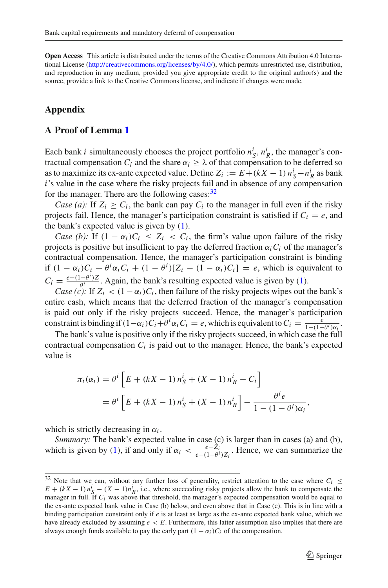**Open Access** This article is distributed under the terms of the Creative Commons Attribution 4.0 International License [\(http://creativecommons.org/licenses/by/4.0/\)](http://creativecommons.org/licenses/by/4.0/), which permits unrestricted use, distribution, and reproduction in any medium, provided you give appropriate credit to the original author(s) and the source, provide a link to the Creative Commons license, and indicate if changes were made.

## **Appendix**

### **A Proof of Lemma [1](#page-11-1)**

Each bank *i* simultaneously chooses the project portfolio  $n_S^i$ ,  $n_R^i$ , the manager's contractual compensation  $C_i$  and the share  $\alpha_i \geq \lambda$  of that compensation to be deferred so as to maximize its ex-ante expected value. Define  $Z_i := E + (kX - 1) n_S^i - n_R^i$  as bank *i*'s value in the case where the risky projects fail and in absence of any compensation for the manager. There are the following cases: $32$ 

*Case (a):* If  $Z_i \geq C_i$ , the bank can pay  $C_i$  to the manager in full even if the risky projects fail. Hence, the manager's participation constraint is satisfied if  $C_i = e$ , and the bank's expected value is given by [\(1\)](#page-11-3).

*Case (b):* If  $(1 - \alpha_i)C_i \leq Z_i < C_i$ , the firm's value upon failure of the risky projects is positive but insufficient to pay the deferred fraction  $\alpha_i C_i$  of the manager's contractual compensation. Hence, the manager's participation constraint is binding if  $(1 - \alpha_i)C_i + \theta^i \alpha_i C_i + (1 - \theta^i)[Z_i - (1 - \alpha_i)C_i] = e$ , which is equivalent to  $C_i = \frac{e - (1 - \theta^i)Z}{\theta^i Z Z Z}$ . Again, the bank's resulting expected value is given by [\(1\)](#page-11-3).

*Case (c):* If  $Z_i < (1 - \alpha_i)C_i$ , then failure of the risky projects wipes out the bank's entire cash, which means that the deferred fraction of the manager's compensation is paid out only if the risky projects succeed. Hence, the manager's participation constraint is binding if  $(1-\alpha_i)C_i+\theta^i\alpha_iC_i = e$ , which is equivalent to  $C_i = \frac{e}{1-(1-\theta^i)\alpha_i}$ .

The bank's value is positive only if the risky projects succeed, in which case the full contractual compensation  $C_i$  is paid out to the manager. Hence, the bank's expected value is

$$
\pi_i(\alpha_i) = \theta^i \left[ E + (kX - 1) n_S^i + (X - 1) n_R^i - C_i \right]
$$
  
=  $\theta^i \left[ E + (kX - 1) n_S^i + (X - 1) n_R^i \right] - \frac{\theta^i e}{1 - (1 - \theta^i) \alpha_i},$ 

which is strictly decreasing in  $\alpha_i$ .

*Summary:* The bank's expected value in case (c) is larger than in cases (a) and (b), which is given by [\(1\)](#page-11-3), if and only if  $\alpha_i < \frac{e - Z_i}{e - (1 - \theta^i) Z_i}$ . Hence, we can summarize the

<span id="page-32-0"></span><sup>&</sup>lt;sup>32</sup> Note that we can, without any further loss of generality, restrict attention to the case where  $C_i \leq$  $E + (kX - 1) n_S^i - (X - 1)n_R^i$ , i.e., where succeeding risky projects allow the bank to compensate the manager in full. If  $C_i$  was above that threshold, the manager's expected compensation would be equal to the ex-ante expected bank value in Case (b) below, and even above that in Case (c). This is in line with a binding participation constraint only if *e* is at least as large as the ex-ante expected bank value, which we have already excluded by assuming  $e \leq E$ . Furthermore, this latter assumption also implies that there are always enough funds available to pay the early part  $(1 - \alpha_i)C_i$  of the compensation.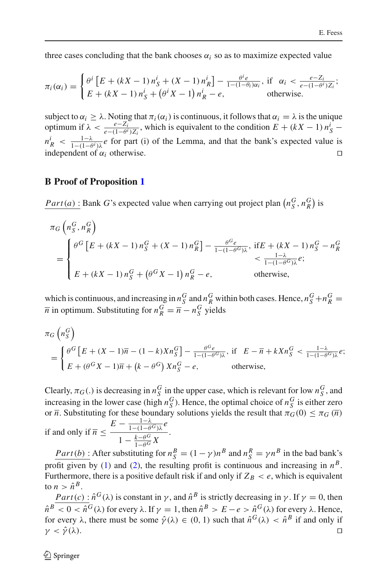three cases concluding that the bank chooses  $\alpha_i$  so as to maximize expected value

$$
\pi_i(\alpha_i) = \begin{cases} \theta^i \left[ E + (kX - 1) n_S^i + (X - 1) n_R^i \right] - \frac{\theta^i e}{1 - (1 - \theta_i)\alpha_i}, & \text{if } \alpha_i < \frac{e - Z_i}{e - (1 - \theta^i)Z_i};\\ E + (kX - 1) n_S^i + \left( \theta^i X - 1 \right) n_R^i - e, & \text{otherwise.} \end{cases}
$$

subject to  $\alpha_i \geq \lambda$ . Noting that  $\pi_i(\alpha_i)$  is continuous, it follows that  $\alpha_i = \lambda$  is the unique optimum if  $\lambda < \frac{e - Z_i}{e - (1 - \theta^i) Z_i}$ , which is equivalent to the condition  $E + (kX - 1) n_S^i$  $n_R^i$  <  $\frac{1-\lambda}{1-(1-\theta^i)\lambda}e$  for part (i) of the Lemma, and that the bank's expected value is independent of  $\alpha_i$  otherwise.

## **B Proof of Proposition [1](#page-13-1)**

*Part*(*a*): Bank *G*'s expected value when carrying out project plan  $(n_S^G, n_R^G)$  is

$$
\pi_G \left( n_S^G, n_R^G \right)
$$
\n
$$
= \begin{cases}\n\theta^G \left[ E + (kX - 1) n_S^G + (X - 1) n_R^G \right] - \frac{\theta^G e}{1 - (1 - \theta^G)\lambda}, & \text{if } E + (kX - 1) n_S^G - n_R^G \\
& < \frac{1 - \lambda}{1 - (1 - \theta^G)\lambda} e; \\
E + (kX - 1) n_S^G + \left( \theta^G X - 1 \right) n_R^G - e, & \text{otherwise,} \n\end{cases}
$$

which is continuous, and increasing in  $n_S^G$  and  $n_R^G$  within both cases. Hence,  $n_S^G + n_R^G =$  $\overline{n}$  in optimum. Substituting for  $n_R^G = \overline{n} - n_S^G$  yields

$$
\pi_G\left(n_S^G\right)
$$
\n
$$
= \begin{cases}\n\theta^G \left[E + (X - 1)\overline{n} - (1 - k)Xn_S^G\right] - \frac{\theta^G e}{1 - (1 - \theta^G)\lambda}, & \text{if } E - \overline{n} + kXn_S^G < \frac{1 - \lambda}{1 - (1 - \theta^G)\lambda}e; \\
E + (\theta^G X - 1)\overline{n} + (k - \theta^G)Xn_S^G - e, & \text{otherwise,} \n\end{cases}
$$

Clearly,  $\pi_G(.)$  is decreasing in  $n_S^G$  in the upper case, which is relevant for low  $n_S^G$ , and increasing in the lower case (high  $n_S^G$ ). Hence, the optimal choice of  $n_S^G$  is either zero or  $\overline{n}$ . Substituting for these boundary solutions yields the result that  $\pi_G(0) \leq \pi_G(\overline{n})$ 

if and only if 
$$
\overline{n} \leq \frac{E - \frac{1-\lambda}{1 - (1 - \theta^G)\lambda}e}{1 - \frac{k - \theta^G}{1 - \theta^G}X}
$$
.

*Part*(*b*) : After substituting for  $n_S^B = (1 - \gamma)n^B$  and  $n_S^R = \gamma n^B$  in the bad bank's profit given by [\(1\)](#page-11-3) and [\(2\)](#page-11-2), the resulting profit is continuous and increasing in  $n<sup>B</sup>$ . Furthermore, there is a positive default risk if and only if  $Z_B < e$ , which is equivalent to  $n > \hat{n}^B$ .

*Part*(*c*) :  $\hat{n}^G(\lambda)$  is constant in  $\gamma$ , and  $\hat{n}^B$  is strictly decreasing in  $\gamma$ . If  $\gamma = 0$ , then  $\hat{n}^B \le 0 \le \hat{n}^G(\lambda)$  for every  $\lambda$ . If  $\gamma = 1$ , then  $\hat{n}^B > E - e > \hat{n}^G(\lambda)$  for every  $\lambda$ . Hence, for every  $\lambda$ , there must be some  $\hat{\gamma}(\lambda) \in (0, 1)$  such that  $\hat{n}^G(\lambda) < \hat{n}^B$  if and only if  $\gamma < \hat{\gamma}(\lambda)$ .  $\gamma < \hat{\gamma}(\lambda)$ .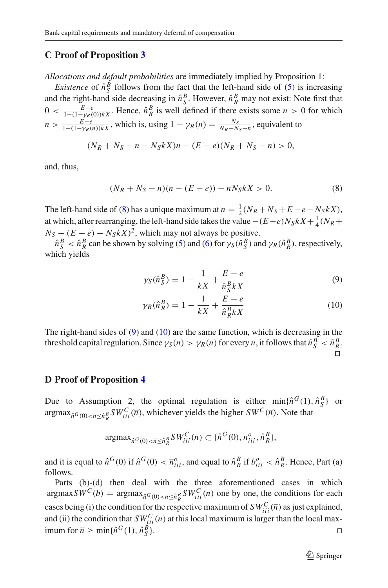#### **C Proof of Proposition [3](#page-19-2)**

*Allocations and default probabilities* are immediately implied by Proposition 1:

*Existence* of  $\hat{n}_S^B$  follows from the fact that the left-hand side of [\(5\)](#page-19-1) is increasing and the right-hand side decreasing in  $\hat{n}_S^B$ . However,  $\hat{n}_R^B$  may not exist: Note first that  $0 < \frac{E-e}{1-(1-\gamma R(0))kX}$ . Hence,  $\hat{n}_R^B$  is well defined if there exists some  $n > 0$  for which  $n > \frac{E - e}{1 - (1 - \gamma_R(n))kX}$ , which is, using  $1 - \gamma_R(n) = \frac{N_S}{N_R + N_S - n}$ , equivalent to

$$
(N_R + N_S - n - N_S kX)n - (E - e)(N_R + N_S - n) > 0,
$$

and, thus,

<span id="page-34-0"></span>
$$
(N_R + N_S - n)(n - (E - e)) - nN_S kX > 0.
$$
 (8)

The left-hand side of [\(8\)](#page-34-0) has a unique maximum at  $n = \frac{1}{2}(N_R + N_S + E - e - N_S kX)$ , at which, after rearranging, the left-hand side takes the value  $-(E-e)N_S kX + \frac{1}{4}(N_R +$  $N_S - (E - e) - N_S kX^2$ , which may not always be positive.

 $\hat{n}_S^B < \hat{n}_R^B$  can be shown by solving [\(5\)](#page-19-1) and [\(6\)](#page-19-1) for  $\gamma_S(\hat{n}_S^B)$  and  $\gamma_R(\hat{n}_R^B)$ , respectively, which yields

<span id="page-34-1"></span>
$$
\gamma_S(\hat{n}_S^B) = 1 - \frac{1}{kX} + \frac{E - e}{\hat{n}_S^B kX} \tag{9}
$$

$$
\gamma_R(\hat{n}_R^B) = 1 - \frac{1}{kX} + \frac{E - e}{\hat{n}_R^B kX} \tag{10}
$$

The right-hand sides of [\(9\)](#page-34-1) and [\(10\)](#page-34-1) are the same function, which is decreasing in the threshold capital regulation. Since  $\gamma_S(\overline{n}) > \gamma_R(\overline{n})$  for every  $\overline{n}$ , it follows that  $\hat{n}_S^B < \hat{n}_R^B$ . Ч

#### **D Proof of Proposition [4](#page-22-2)**

Due to Assumption 2, the optimal regulation is either  $min\{\hat{n}^G(1), \hat{n}^B_S\}$  or  $\argmax_{\hat{n}^G(0) < \overline{n} \leq \hat{n}_R^B} SW_{iii}^C(\overline{n})$ , whichever yields the higher  $SW^C(\overline{n})$ . Note that

$$
\operatorname{argmax}_{\hat{n}^G(0) < \overline{n} \leq \hat{n}_R^B} SW_{iii}^C(\overline{n}) \subset \{\hat{n}^G(0), \overline{n}_{iii}^o, \hat{n}_R^B\},
$$

and it is equal to  $\hat{n}^G(0)$  if  $\hat{n}^G(0) < \overline{n}_{iii}^o$ , and equal to  $\hat{n}_R^B$  if  $b_{iii}^o < \hat{n}_R^B$ . Hence, Part (a) follows.

Parts (b)-(d) then deal with the three aforementioned cases in which  $\arg \max S W^C(b) = \arg \max_{\hat{n}^G(0) < \overline{n} \leq \hat{n}_R^B} SW^C_{ii}(\overline{n})$  one by one, the conditions for each cases being (i) the condition for the respective maximum of  $SW<sub>iii</sub><sup>C</sup>(\overline{n})$  as just explained, and (ii) the condition that  $SW_{iii}^C(\overline{n})$  at this local maximum is larger than the local maximum for  $\overline{n} \ge \min\{\hat{n}^G(1), \hat{n}^B_{S}\}.$  $S$  }.  $\square$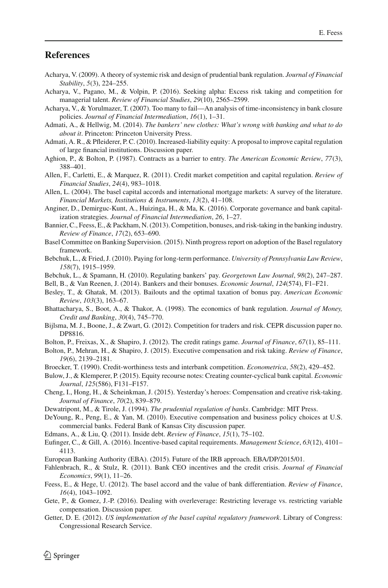### **References**

- <span id="page-35-28"></span>Acharya, V. (2009). A theory of systemic risk and design of prudential bank regulation. *Journal of Financial Stability*, *5*(3), 224–255.
- <span id="page-35-10"></span>Acharya, V., Pagano, M., & Volpin, P. (2016). Seeking alpha: Excess risk taking and competition for managerial talent. *Review of Financial Studies*, *29*(10), 2565–2599.
- <span id="page-35-27"></span>Acharya, V., & Yorulmazer, T. (2007). Too many to fail—An analysis of time-inconsistency in bank closure policies. *Journal of Financial Intermediation*, *16*(1), 1–31.
- <span id="page-35-0"></span>Admati, A., & Hellwig, M. (2014). *The bankers' new clothes: What's wrong with banking and what to do about it*. Princeton: Princeton University Press.
- <span id="page-35-15"></span>Admati, A. R., & Pfleiderer, P. C. (2010). Increased-liability equity: A proposal to improve capital regulation of large financial institutions. Discussion paper.
- <span id="page-35-11"></span>Aghion, P., & Bolton, P. (1987). Contracts as a barrier to entry. *The American Economic Review*, *77*(3), 388–401.
- <span id="page-35-19"></span>Allen, F., Carletti, E., & Marquez, R. (2011). Credit market competition and capital regulation. *Review of Financial Studies*, *24*(4), 983–1018.
- <span id="page-35-18"></span>Allen, L. (2004). The basel capital accords and international mortgage markets: A survey of the literature. *Financial Markets, Institutions & Instruments*, *13*(2), 41–108.
- <span id="page-35-22"></span>Anginer, D., Demirguc-Kunt, A., Huizinga, H., & Ma, K. (2016). Corporate governance and bank capitalization strategies. *Journal of Financial Intermediation*, *26*, 1–27.
- <span id="page-35-23"></span>Bannier, C., Feess, E., & Packham, N. (2013). Competition, bonuses, and risk-taking in the banking industry. *Review of Finance*, *17*(2), 653–690.
- <span id="page-35-29"></span>Basel Committee on Banking Supervision. (2015). Ninth progress report on adoption of the Basel regulatory framework.
- <span id="page-35-1"></span>Bebchuk, L., & Fried, J. (2010). Paying for long-term performance. *University of Pennsylvania Law Review*, *158*(7), 1915–1959.
- <span id="page-35-3"></span>Bebchuk, L., & Spamann, H. (2010). Regulating bankers' pay. *Georgetown Law Journal*, *98*(2), 247–287.
- <span id="page-35-7"></span>Bell, B., & Van Reenen, J. (2014). Bankers and their bonuses. *Economic Journal*, *124*(574), F1–F21.
- <span id="page-35-4"></span>Besley, T., & Ghatak, M. (2013). Bailouts and the optimal taxation of bonus pay. *American Economic Review*, *103*(3), 163–67.
- <span id="page-35-17"></span>Bhattacharya, S., Boot, A., & Thakor, A. (1998). The economics of bank regulation. *Journal of Money, Credit and Banking*, *30*(4), 745–770.
- <span id="page-35-24"></span>Bijlsma, M. J., Boone, J., & Zwart, G. (2012). Competition for traders and risk. CEPR discussion paper no. DP8816.
- <span id="page-35-2"></span>Bolton, P., Freixas, X., & Shapiro, J. (2012). The credit ratings game. *Journal of Finance*, *67*(1), 85–111.
- <span id="page-35-9"></span>Bolton, P., Mehran, H., & Shapiro, J. (2015). Executive compensation and risk taking. *Review of Finance*, *19*(6), 2139–2181.
- <span id="page-35-25"></span>Broecker, T. (1990). Credit-worthiness tests and interbank competition. *Econometrica*, *58*(2), 429–452.
- <span id="page-35-16"></span>Bulow, J., & Klemperer, P. (2015). Equity recourse notes: Creating counter-cyclical bank capital. *Economic Journal*, *125*(586), F131–F157.
- <span id="page-35-13"></span>Cheng, I., Hong, H., & Scheinkman, J. (2015). Yesterday's heroes: Compensation and creative risk-taking. *Journal of Finance*, *70*(2), 839–879.
- <span id="page-35-5"></span>Dewatripont, M., & Tirole, J. (1994). *The prudential regulation of banks*. Cambridge: MIT Press.
- <span id="page-35-12"></span>DeYoung, R., Peng, E., & Yan, M. (2010). Executive compensation and business policy choices at U.S. commercial banks. Federal Bank of Kansas City discussion paper.
- <span id="page-35-8"></span>Edmans, A., & Liu, Q. (2011). Inside debt. *Review of Finance*, *15*(1), 75–102.
- <span id="page-35-20"></span>Eufinger, C., & Gill, A. (2016). Incentive-based capital requirements. *Management Science*, *63*(12), 4101– 4113.
- <span id="page-35-30"></span>European Banking Authority (EBA). (2015). Future of the IRB approach. EBA/DP/2015/01.
- <span id="page-35-14"></span>Fahlenbrach, R., & Stulz, R. (2011). Bank CEO incentives and the credit crisis. *Journal of Financial Economics*, *99*(1), 11–26.
- <span id="page-35-26"></span>Feess, E., & Hege, U. (2012). The basel accord and the value of bank differentiation. *Review of Finance*, *16*(4), 1043–1092.
- <span id="page-35-21"></span>Gete, P., & Gomez, J.-P. (2016). Dealing with overleverage: Restricting leverage vs. restricting variable compensation. Discussion paper.
- <span id="page-35-6"></span>Getter, D. E. (2012). *US implementation of the basel capital regulatory framework*. Library of Congress: Congressional Research Service.